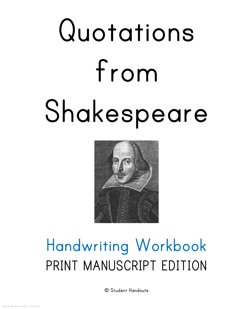# Quotations from Shakespeare



## Handwriting Workbook PRINT MANUSCRIPT EDITION

© Student Handouts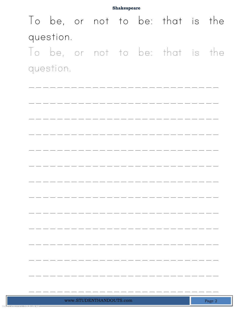To be, or not to be: that is the question.

To be, or not to be: that is the question.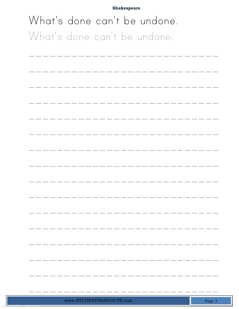### What's done can't be undone. What's done can't be undone.

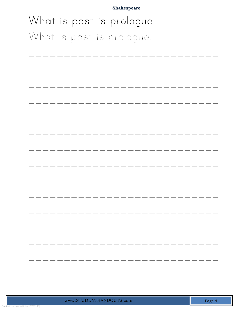### What is past is prologue. What is past is prologue.

|  |     | - -<br>- -<br>- -<br>- 1<br>- -               | - -<br>- -<br>- -<br>- - |  |
|--|-----|-----------------------------------------------|--------------------------|--|
|  | - - | <u>. .</u><br>- -<br>$\overline{\phantom{a}}$ | <u>. .</u>               |  |
|  |     |                                               |                          |  |
|  |     | . .<br>- -<br>- -<br>- -                      | - -                      |  |
|  |     |                                               |                          |  |
|  |     |                                               |                          |  |
|  |     | . .<br>$\sim$                                 | - -                      |  |
|  |     |                                               |                          |  |
|  |     |                                               |                          |  |
|  |     |                                               |                          |  |
|  |     |                                               |                          |  |
|  |     |                                               |                          |  |
|  |     |                                               |                          |  |
|  |     |                                               |                          |  |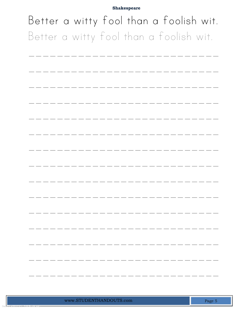### Better a witty fool than a foolish wit. Better a witty fool than a foolish wit.

|  | - - | - - | <u>. .</u> | __ ____ ____ __ | $\overline{\phantom{a}}$ | $\overline{\phantom{a}}$ | $\overline{\phantom{a}}$ |  |
|--|-----|-----|------------|-----------------|--------------------------|--------------------------|--------------------------|--|
|  |     |     |            |                 |                          |                          |                          |  |
|  |     |     |            |                 |                          |                          |                          |  |
|  |     |     |            |                 |                          |                          |                          |  |
|  |     |     |            |                 |                          |                          |                          |  |
|  |     |     |            |                 |                          |                          |                          |  |
|  |     |     |            |                 |                          |                          |                          |  |
|  |     |     |            |                 |                          |                          |                          |  |
|  |     |     |            |                 |                          |                          |                          |  |
|  |     |     |            |                 |                          |                          |                          |  |
|  |     |     |            |                 |                          |                          |                          |  |
|  |     |     |            |                 |                          |                          |                          |  |
|  |     |     |            |                 |                          |                          |                          |  |
|  |     |     |            |                 |                          |                          |                          |  |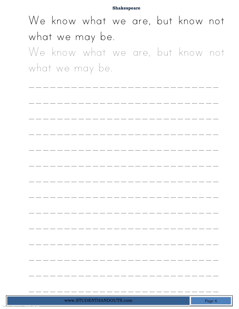We know what we are, but know not what we may be.

We know what we are, but know not what we may be.

 $-$ - -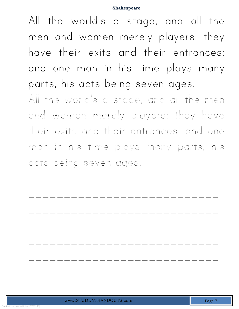All the world's a stage, and all the men and women merely players: they have their exits and their entrances; and one man in his time plays many parts, his acts being seven ages. All the world's a stage, and all the men and women merely players: they have

their exits and their entrances; and one man in his time plays many parts, his acts being seven ages.

\_\_\_\_\_\_\_\_\_\_\_\_\_\_\_\_\_\_\_\_\_\_\_\_\_\_\_

\_\_\_\_\_\_\_\_\_\_\_\_\_\_\_\_\_\_\_\_\_\_\_\_\_\_\_

\_\_\_\_\_\_\_\_\_\_\_\_\_\_\_\_\_\_\_\_\_\_\_\_\_\_\_

\_\_\_\_\_\_\_\_\_\_\_\_\_\_\_\_\_\_\_\_\_\_\_\_\_\_\_

\_\_\_\_\_\_\_\_\_\_\_\_\_\_\_\_\_\_\_\_\_\_\_\_\_\_\_

\_\_\_\_\_\_\_\_\_\_\_\_\_\_\_\_\_\_\_\_\_\_\_\_\_\_\_

\_\_\_\_\_\_\_\_\_\_\_\_\_\_\_\_\_\_\_\_\_\_\_\_\_\_\_

\_\_\_\_\_\_\_\_\_\_\_\_\_\_\_\_\_\_\_\_\_\_\_\_\_\_\_

Stude<del>nt Handouts (Order #3768258)</del>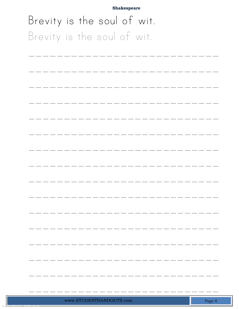$\overline{\phantom{a}}$  $\overline{\phantom{a}}$ 

\_ \_ \_

- -

- -

- -

 $\overline{\phantom{a}}$ 

### Brevity is the soul of wit. Brevity is the soul of wit.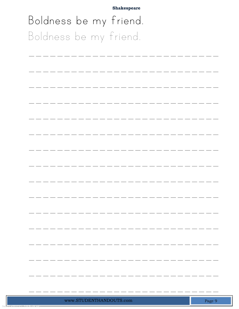### Boldness be my friend. Boldness be my friend.

|  | - -<br>$\sim$ | $\overline{a}$<br>$\sim$<br>- -<br>- -                               | - - |
|--|---------------|----------------------------------------------------------------------|-----|
|  |               |                                                                      |     |
|  |               | - -                                                                  |     |
|  |               |                                                                      |     |
|  |               |                                                                      |     |
|  |               | $\overline{\phantom{a}}$<br>$\overline{\phantom{a}}$<br>- 11<br>- 11 |     |
|  |               |                                                                      |     |
|  |               |                                                                      |     |
|  |               |                                                                      |     |
|  |               |                                                                      |     |
|  |               |                                                                      |     |
|  |               |                                                                      |     |
|  |               |                                                                      |     |
|  |               |                                                                      |     |
|  |               |                                                                      |     |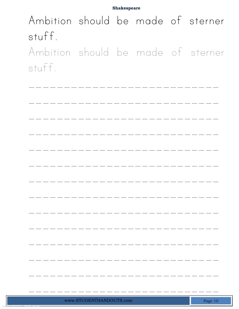### Ambition should be made of sterner stuff.

Ambition should be made of sterner stuff.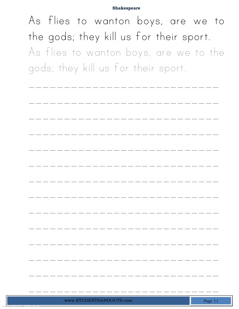As flies to wanton boys, are we to the gods; they kill us for their sport. As flies to wanton boys, are we to the gods; they kill us for their sport.

\_\_\_\_\_\_\_\_\_\_\_\_\_\_\_\_\_\_\_\_\_\_\_\_\_\_\_

\_\_\_\_\_\_\_\_\_\_\_\_\_\_\_\_\_\_\_\_\_\_\_\_\_\_\_

\_\_\_\_\_\_\_\_\_\_\_\_\_\_\_\_\_\_\_\_\_\_\_\_\_\_\_

\_\_\_\_\_\_\_\_\_\_\_\_\_\_\_\_\_\_\_\_\_\_\_\_\_\_\_

\_\_\_\_\_\_\_\_\_\_\_\_\_\_\_\_\_\_\_\_\_\_\_\_\_\_\_

\_\_\_\_\_\_\_\_\_\_\_\_\_\_\_\_\_\_\_\_\_\_\_\_\_\_\_

\_\_\_\_\_\_\_\_\_\_\_\_\_\_\_\_\_\_\_\_\_\_\_\_\_\_\_

\_\_\_\_\_\_\_\_\_\_\_\_\_\_\_\_\_\_\_\_\_\_\_\_\_\_\_

\_\_\_\_\_\_\_\_\_\_\_\_\_\_\_\_\_\_\_\_\_\_\_\_\_\_\_

www.STUDENTHANDOUTS.com Page 11 \_\_\_\_\_\_\_\_\_\_\_\_\_\_\_\_\_\_\_\_\_\_\_\_\_\_\_ \_\_\_\_\_\_\_\_\_\_\_\_\_\_\_\_\_\_\_\_\_\_\_\_\_\_\_ \_\_\_\_\_\_\_\_\_\_\_\_\_\_\_\_\_\_\_\_\_\_\_\_\_\_\_ \_\_\_\_\_\_\_\_\_\_\_\_\_\_\_\_\_\_\_\_\_\_\_\_\_\_\_ \_\_\_\_\_\_\_\_\_\_\_\_\_\_\_\_\_\_\_\_\_\_\_\_\_\_\_ Stude<del>nt Handouts (Order #3768258)</del>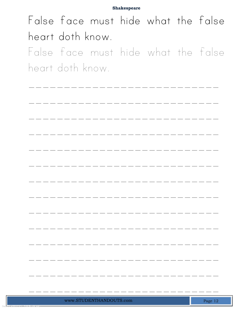False face must hide what the false heart doth know.

False face must hide what the false heart doth know.

|  | $\sim$ |  |
|--|--------|--|
|  |        |  |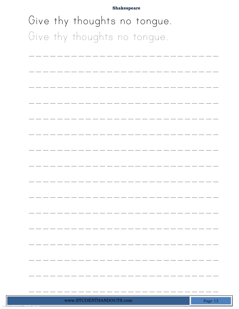$\overline{a}$  $\overline{\phantom{a}}$ 

 $\sim$ 

\_ \_\_ \_

ц.

- 3 - -- -

### Give thy thoughts no tongue. Give thy thoughts no tongue.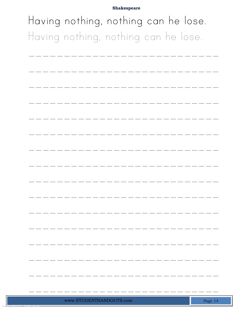### Having nothing, nothing can he lose. Having nothing, nothing can he lose.

www.STUDENTHANDOUTS.com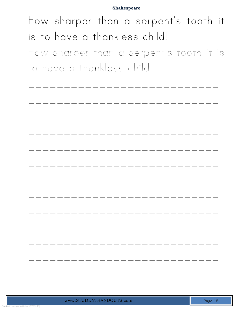### How sharper than a serpent's tooth it is to have a thankless child!

How sharper than a serpent's tooth it is to have a thankless child!



Stude<del>nt Handouts (Order #3768258)</del>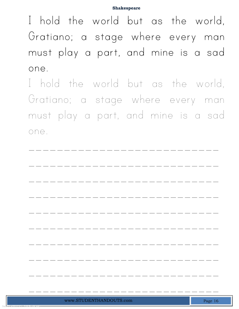I hold the world but as the world, Gratiano; a stage where every man must play a part, and mine is a sad one.

I hold the world but as the world, Gratiano; a stage where every man must play a part, and mine is a sad one.

\_\_\_\_\_\_\_\_\_\_\_\_\_\_\_\_\_\_\_\_\_\_\_\_\_\_\_

\_\_\_\_\_\_\_\_\_\_\_\_\_\_\_\_\_\_\_\_\_\_\_\_\_\_\_

\_\_\_\_\_\_\_\_\_\_\_\_\_\_\_\_\_\_\_\_\_\_\_\_\_\_\_

\_\_\_\_\_\_\_\_\_\_\_\_\_\_\_\_\_\_\_\_\_\_\_\_\_\_\_

\_\_\_\_\_\_\_\_\_\_\_\_\_\_\_\_\_\_\_\_\_\_\_\_\_\_\_

\_\_\_\_\_\_\_\_\_\_\_\_\_\_\_\_\_\_\_\_\_\_\_\_\_\_\_

\_\_\_\_\_\_\_\_\_\_\_\_\_\_\_\_\_\_\_\_\_\_\_\_\_\_\_

\_\_\_\_\_\_\_\_\_\_\_\_\_\_\_\_\_\_\_\_\_\_\_\_\_\_\_

\_\_\_\_\_\_\_\_\_\_\_\_\_\_\_\_\_\_\_\_\_\_\_\_\_\_\_

\_\_\_\_\_\_\_\_\_\_\_\_\_\_\_\_\_\_\_\_\_\_\_\_\_\_\_

Stude<del>nt Handouts (Order #3768258)</del>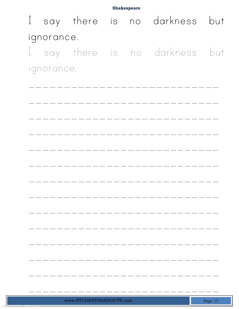| <b>Shakespeare</b> |
|--------------------|
|                    |

say there is no darkness but  $\mathbf{I}$ ignorance. I say there is no darkness but ignorance.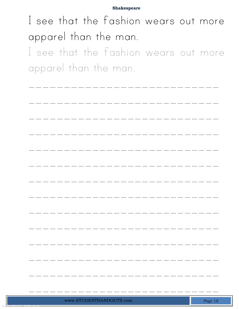### I see that the fashion wears out more apparel than the man.

I see that the fashion wears out more apparel than the man.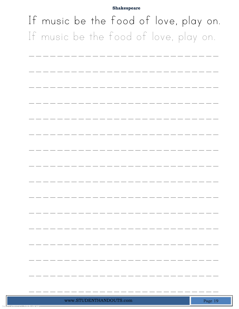### If music be the food of love, play on. If music be the food of love, play on.

|  |  |  |  |  |  |  |  |  | __ __ __ __ __ __ __ __ |  |                        |  |  |
|--|--|--|--|--|--|--|--|--|-------------------------|--|------------------------|--|--|
|  |  |  |  |  |  |  |  |  |                         |  |                        |  |  |
|  |  |  |  |  |  |  |  |  |                         |  |                        |  |  |
|  |  |  |  |  |  |  |  |  |                         |  | _ __ __ __ __ __ __ __ |  |  |
|  |  |  |  |  |  |  |  |  |                         |  |                        |  |  |
|  |  |  |  |  |  |  |  |  |                         |  |                        |  |  |
|  |  |  |  |  |  |  |  |  |                         |  |                        |  |  |
|  |  |  |  |  |  |  |  |  |                         |  |                        |  |  |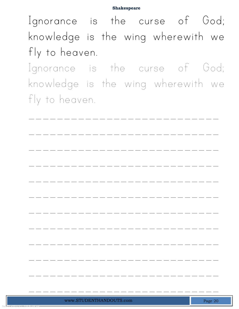Ignorance is the curse of God; knowledge is the wing wherewith we fly to heaven.

Ignorance is the curse of God; knowledge is the wing wherewith we fly to heaven.



Stude<del>nt Handouts (Order #3768258)</del>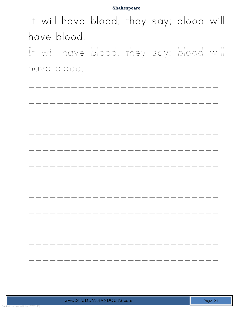### It will have blood, they say; blood will have blood.

It will have blood, they say; blood will have blood.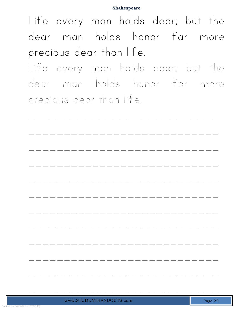Life every man holds dear; but the dear man holds honor far more precious dear than life.

Life every man holds dear; but the dear man holds honor far more precious dear than life.

\_\_\_\_\_\_\_\_\_\_\_\_\_\_\_\_\_\_\_\_\_\_\_\_\_\_\_

\_\_\_\_\_\_\_\_\_\_\_\_\_\_\_\_\_\_\_\_\_\_\_\_\_\_\_

\_\_\_\_\_\_\_\_\_\_\_\_\_\_\_\_\_\_\_\_\_\_\_\_\_\_\_ \_\_\_\_\_\_\_\_\_\_\_\_\_\_\_\_\_\_\_\_\_\_\_\_\_\_\_ \_\_\_\_\_\_\_\_\_\_\_\_\_\_\_\_\_\_\_\_\_\_\_\_\_\_\_ \_\_\_\_\_\_\_\_\_\_\_\_\_\_\_\_\_\_\_\_\_\_\_\_\_\_\_ \_\_\_\_\_\_\_\_\_\_\_\_\_\_\_\_\_\_\_\_\_\_\_\_\_\_\_ \_\_\_\_\_\_\_\_\_\_\_\_\_\_\_\_\_\_\_\_\_\_\_\_\_\_\_ \_\_\_\_\_\_\_\_\_\_\_\_\_\_\_\_\_\_\_\_\_\_\_\_\_\_\_ \_\_\_\_\_\_\_\_\_\_\_\_\_\_\_\_\_\_\_\_\_\_\_\_\_\_\_ \_\_\_\_\_\_\_\_\_\_\_\_\_\_\_\_\_\_\_\_\_\_\_\_\_\_\_ \_\_\_\_\_\_\_\_\_\_\_\_\_\_\_\_\_\_\_\_\_\_\_\_\_\_\_

Stude<del>nt Handouts (Order #3768258)</del>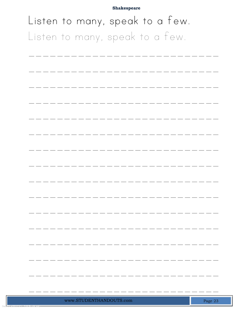- - $\overline{\phantom{a}}$ 

### Listen to many, speak to a few. Listen to many, speak to a few.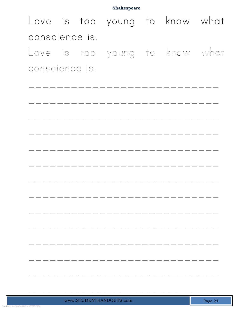Love is too young to know what conscience is.

Love is too young to know what conscience is.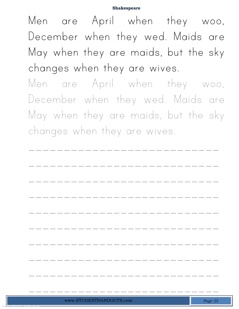Men are April when they woo, December when they wed. Maids are May when they are maids, but the sky changes when they are wives.

Men are April when they woo, December when they wed. Maids are May when they are maids, but the sky changes when they are wives.

\_\_\_\_\_\_\_\_\_\_\_\_\_\_\_\_\_\_\_\_\_\_\_\_\_\_\_

\_\_\_\_\_\_\_\_\_\_\_\_\_\_\_\_\_\_\_\_\_\_\_\_\_\_\_

\_\_\_\_\_\_\_\_\_\_\_\_\_\_\_\_\_\_\_\_\_\_\_\_\_\_\_

\_\_\_\_\_\_\_\_\_\_\_\_\_\_\_\_\_\_\_\_\_\_\_\_\_\_\_

\_\_\_\_\_\_\_\_\_\_\_\_\_\_\_\_\_\_\_\_\_\_\_\_\_\_\_

\_\_\_\_\_\_\_\_\_\_\_\_\_\_\_\_\_\_\_\_\_\_\_\_\_\_\_

\_\_\_\_\_\_\_\_\_\_\_\_\_\_\_\_\_\_\_\_\_\_\_\_\_\_\_

\_\_\_\_\_\_\_\_\_\_\_\_\_\_\_\_\_\_\_\_\_\_\_\_\_\_\_

\_\_\_\_\_\_\_\_\_\_\_\_\_\_\_\_\_\_\_\_\_\_\_\_\_\_\_

\_\_\_\_\_\_\_\_\_\_\_\_\_\_\_\_\_\_\_\_\_\_\_\_\_\_\_

Stude<del>nt Handouts (Order #3768258)</del>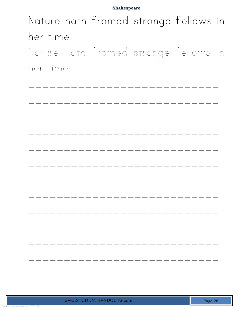### Nature hath framed strange fellows in her time.

Nature hath framed strange fellows in her time.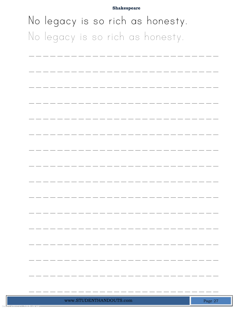### No legacy is so rich as honesty. No legacy is so rich as honesty.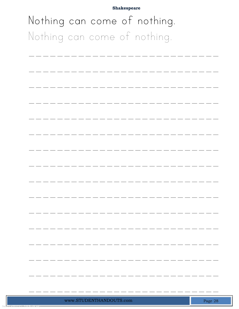

### Nothing can come of nothing. Nothing can come of nothing.

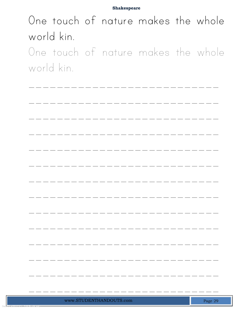### One touch of nature makes the whole world kin.

One touch of nature makes the whole world kin.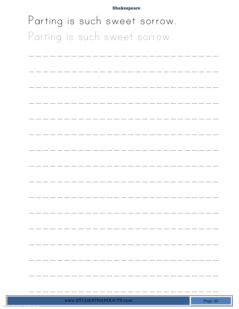### Parting is such sweet sorrow. Parting is such sweet sorrow.

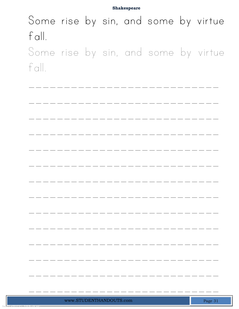Some rise by sin, and some by virtue fall.

Some rise by sin, and some by virtue  $f$ all.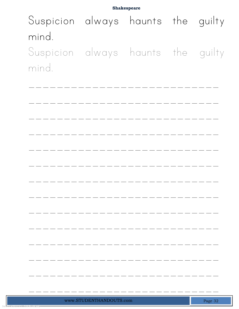| Suspicion always haunts the guilty |  |  |
|------------------------------------|--|--|
| mind.                              |  |  |

Suspicion always haunts the guilty mind.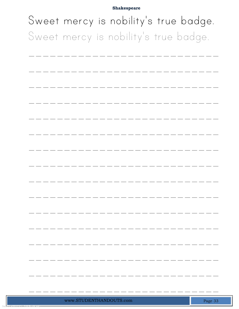### Sweet mercy is nobility's true badge. Sweet mercy is nobility's true badge.

|  | a sa | and the second state of the second state of the second state of the second state of the second state of the second state of the second state of the second state of the second state of the second state of the second state o<br>$\overline{\phantom{a}}$<br>- -<br>- - | - -<br>- -<br>- 11 |  |
|--|------|--------------------------------------------------------------------------------------------------------------------------------------------------------------------------------------------------------------------------------------------------------------------------|--------------------|--|
|  |      |                                                                                                                                                                                                                                                                          |                    |  |
|  |      |                                                                                                                                                                                                                                                                          |                    |  |
|  |      |                                                                                                                                                                                                                                                                          |                    |  |
|  |      |                                                                                                                                                                                                                                                                          |                    |  |
|  |      |                                                                                                                                                                                                                                                                          |                    |  |
|  |      |                                                                                                                                                                                                                                                                          |                    |  |
|  |      |                                                                                                                                                                                                                                                                          |                    |  |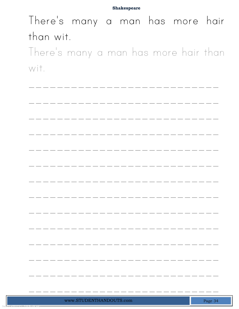

There's many a man has more hair than wit.

There's many a man has more hair than wit.

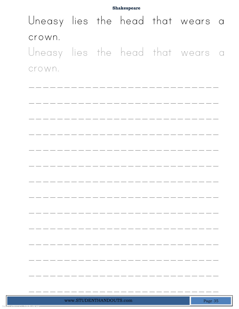### Uneasy lies the head that wears a crown.

Uneasy lies the head that wears a crown.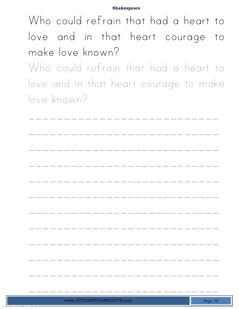Who could refrain that had a heart to love and in that heart courage to make love known?

Who could refrain that had a heart to love and in that heart courage to make love known?



Stude<del>nt Handouts (Order #3768258)</del>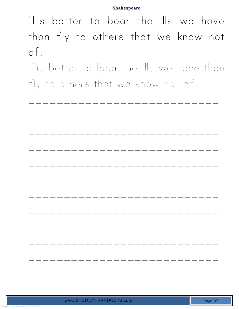'Tis better to bear the ills we have than fly to others that we know not of.

'Tis better to bear the ills we have than fly to others that we know not of.

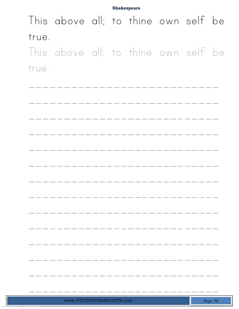This above all; to thine own self be true.

This above all; to thine own self be true.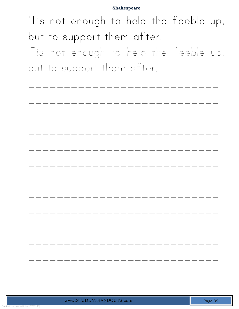## 'Tis not enough to help the feeble up, but to support them after.

Tis not enough to help the feeble up, but to support them after.

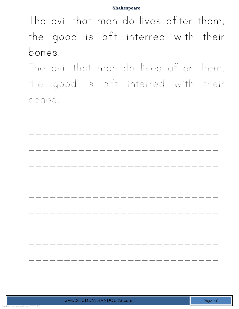The evil that men do lives after them; the good is oft interred with their bones.

The evil that men do lives after them; the good is oft interred with their bones.

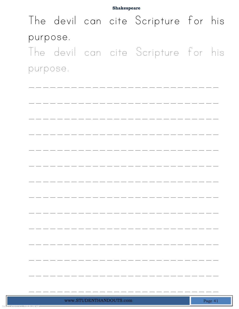# **Shakespeare** The devil can cite Scripture for his purpose. The devil can cite Scripture for his purpose.  $\overline{\phantom{a}}$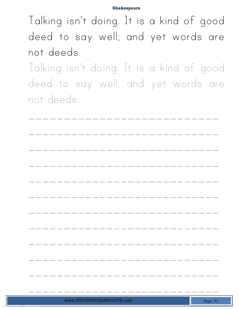Talking isn't doing. It is a kind of good deed to say well; and yet words are not deeds.

Talking isn't doing. It is a kind of good deed to say well; and yet words are not deeds.

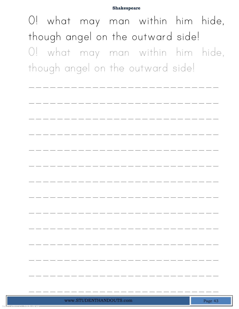O! what may man within him hide, though angel on the outward side! O! what may man within him hide, though angel on the outward side!

\_\_\_\_\_\_\_\_\_\_\_\_\_\_\_\_\_\_\_\_\_\_\_\_\_\_\_

\_\_\_\_\_\_\_\_\_\_\_\_\_\_\_\_\_\_\_\_\_\_\_\_\_\_\_ \_\_\_\_\_\_\_\_\_\_\_\_\_\_\_\_\_\_\_\_\_\_\_\_\_\_\_ \_\_\_\_\_\_\_\_\_\_\_\_\_\_\_\_\_\_\_\_\_\_\_\_\_\_\_ \_\_\_\_\_\_\_\_\_\_\_\_\_\_\_\_\_\_\_\_\_\_\_\_\_\_\_ \_\_\_\_\_\_\_\_\_\_\_\_\_\_\_\_\_\_\_\_\_\_\_\_\_\_\_ \_\_\_\_\_\_\_\_\_\_\_\_\_\_\_\_\_\_\_\_\_\_\_\_\_\_\_ \_\_\_\_\_\_\_\_\_\_\_\_\_\_\_\_\_\_\_\_\_\_\_\_\_\_\_ \_\_\_\_\_\_\_\_\_\_\_\_\_\_\_\_\_\_\_\_\_\_\_\_\_\_\_ \_\_\_\_\_\_\_\_\_\_\_\_\_\_\_\_\_\_\_\_\_\_\_\_\_\_\_ \_\_\_\_\_\_\_\_\_\_\_\_\_\_\_\_\_\_\_\_\_\_\_\_\_\_\_ \_\_\_\_\_\_\_\_\_\_\_\_\_\_\_\_\_\_\_\_\_\_\_\_\_\_\_ \_\_\_\_\_\_\_\_\_\_\_\_\_\_\_\_\_\_\_\_\_\_\_\_\_\_\_ \_\_\_\_\_\_\_\_\_\_\_\_\_\_\_\_\_\_\_\_\_\_\_\_\_\_\_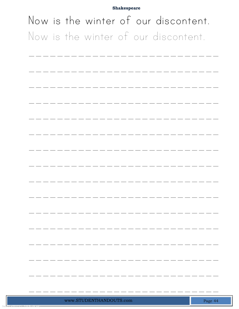

### Now is the winter of our discontent. Now is the winter of our discontent.

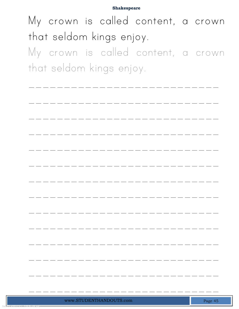## My crown is called content, a crown that seldom kings enjoy.

My crown is called content, a crown that seldom kings enjoy.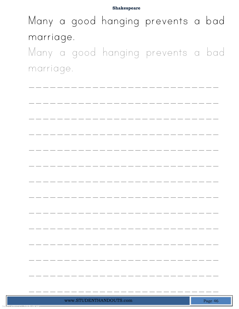Many a good hanging prevents a bad marriage.

Many a good hanging prevents a bad marriage.

|  | $\overline{\phantom{a}}$<br>$\overline{a}$ | $=$ $ -$<br>$\overline{\phantom{a}}$<br>$  -$<br>$\overline{a}$ |  |
|--|--------------------------------------------|-----------------------------------------------------------------|--|
|  |                                            |                                                                 |  |
|  |                                            |                                                                 |  |
|  |                                            |                                                                 |  |
|  |                                            |                                                                 |  |
|  |                                            |                                                                 |  |
|  |                                            |                                                                 |  |
|  |                                            |                                                                 |  |
|  |                                            |                                                                 |  |
|  |                                            |                                                                 |  |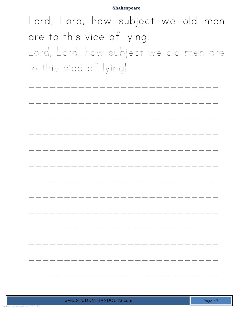Lord, Lord, how subject we old men are to this vice of lying!

Lord, Lord, how subject we old men are to this vice of lying!

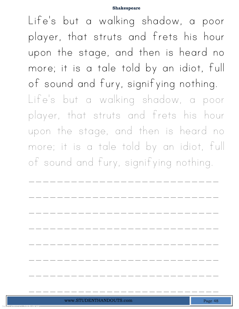Life's but a walking shadow, a poor player, that struts and frets his hour upon the stage, and then is heard no more; it is a tale told by an idiot, full of sound and fury, signifying nothing. Life's but a walking shadow, a poor

player, that struts and frets his hour upon the stage, and then is heard no more; it is a tale told by an idiot, full of sound and fury, signifying nothing.

\_\_\_\_\_\_\_\_\_\_\_\_\_\_\_\_\_\_\_\_\_\_\_\_\_\_\_

\_\_\_\_\_\_\_\_\_\_\_\_\_\_\_\_\_\_\_\_\_\_\_\_\_\_\_

\_\_\_\_\_\_\_\_\_\_\_\_\_\_\_\_\_\_\_\_\_\_\_\_\_\_\_

\_\_\_\_\_\_\_\_\_\_\_\_\_\_\_\_\_\_\_\_\_\_\_\_\_\_\_

\_\_\_\_\_\_\_\_\_\_\_\_\_\_\_\_\_\_\_\_\_\_\_\_\_\_\_

\_\_\_\_\_\_\_\_\_\_\_\_\_\_\_\_\_\_\_\_\_\_\_\_\_\_\_

\_\_\_\_\_\_\_\_\_\_\_\_\_\_\_\_\_\_\_\_\_\_\_\_\_\_\_

\_\_\_\_\_\_\_\_\_\_\_\_\_\_\_\_\_\_\_\_\_\_\_\_\_\_\_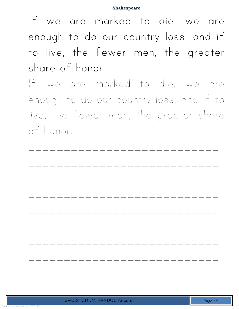If we are marked to die, we are enough to do our country loss; and if to live, the fewer men, the greater share of honor.

If we are marked to die, we are enough to do our country loss; and if to live, the fewer men, the greater share of honor.

\_\_\_\_\_\_\_\_\_\_\_\_\_\_\_\_\_\_\_\_\_\_\_\_\_\_\_

\_\_\_\_\_\_\_\_\_\_\_\_\_\_\_\_\_\_\_\_\_\_\_\_\_\_\_

\_\_\_\_\_\_\_\_\_\_\_\_\_\_\_\_\_\_\_\_\_\_\_\_\_\_\_

\_\_\_\_\_\_\_\_\_\_\_\_\_\_\_\_\_\_\_\_\_\_\_\_\_\_\_

\_\_\_\_\_\_\_\_\_\_\_\_\_\_\_\_\_\_\_\_\_\_\_\_\_\_\_

\_\_\_\_\_\_\_\_\_\_\_\_\_\_\_\_\_\_\_\_\_\_\_\_\_\_\_

\_\_\_\_\_\_\_\_\_\_\_\_\_\_\_\_\_\_\_\_\_\_\_\_\_\_\_

\_\_\_\_\_\_\_\_\_\_\_\_\_\_\_\_\_\_\_\_\_\_\_\_\_\_\_

\_\_\_\_\_\_\_\_\_\_\_\_\_\_\_\_\_\_\_\_\_\_\_\_\_\_\_

\_\_\_\_\_\_\_\_\_\_\_\_\_\_\_\_\_\_\_\_\_\_\_\_\_\_\_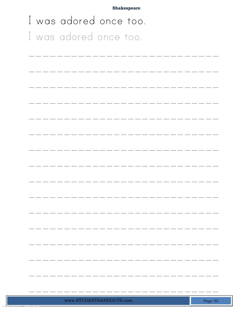### I was adored once too. I was adored once too.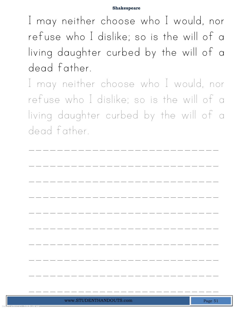I may neither choose who I would, nor refuse who I dislike; so is the will of a living daughter curbed by the will of a dead father.

I may neither choose who I would, nor refuse who I dislike; so is the will of a living daughter curbed by the will of a dead father.

\_\_\_\_\_\_\_\_\_\_\_\_\_\_\_\_\_\_\_\_\_\_\_\_\_\_\_

\_\_\_\_\_\_\_\_\_\_\_\_\_\_\_\_\_\_\_\_\_\_\_\_\_\_\_

\_\_\_\_\_\_\_\_\_\_\_\_\_\_\_\_\_\_\_\_\_\_\_\_\_\_\_

\_\_\_\_\_\_\_\_\_\_\_\_\_\_\_\_\_\_\_\_\_\_\_\_\_\_\_

\_\_\_\_\_\_\_\_\_\_\_\_\_\_\_\_\_\_\_\_\_\_\_\_\_\_\_

\_\_\_\_\_\_\_\_\_\_\_\_\_\_\_\_\_\_\_\_\_\_\_\_\_\_\_

\_\_\_\_\_\_\_\_\_\_\_\_\_\_\_\_\_\_\_\_\_\_\_\_\_\_\_

\_\_\_\_\_\_\_\_\_\_\_\_\_\_\_\_\_\_\_\_\_\_\_\_\_\_\_

\_\_\_\_\_\_\_\_\_\_\_\_\_\_\_\_\_\_\_\_\_\_\_\_\_\_\_

\_\_\_\_\_\_\_\_\_\_\_\_\_\_\_\_\_\_\_\_\_\_\_\_\_\_\_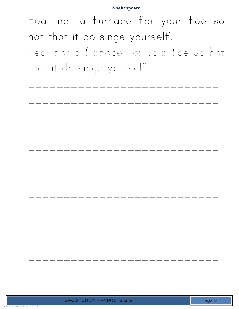## Heat not a furnace for your foe so hot that it do singe yourself.

Heat not a furnace for your foe so hot that it do singe yourself.

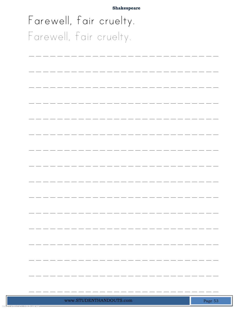# Farewell, fair cruelty. Farewell, fair cruelty.

|  |  |  |  |  |  |      |           |                                                       |        |     |       |        | _ _ _ _ _ _ _ _ _ _ _ _ _ _ |  |  |
|--|--|--|--|--|--|------|-----------|-------------------------------------------------------|--------|-----|-------|--------|-----------------------------|--|--|
|  |  |  |  |  |  |      |           | _ __ __ __ __ __ __ __ __ __                          |        |     |       |        |                             |  |  |
|  |  |  |  |  |  |      |           |                                                       |        |     |       |        |                             |  |  |
|  |  |  |  |  |  |      |           | $\overline{\phantom{a}}$ and $\overline{\phantom{a}}$ | _ __ _ |     | ___   |        |                             |  |  |
|  |  |  |  |  |  |      |           |                                                       |        |     |       |        |                             |  |  |
|  |  |  |  |  |  |      |           |                                                       |        |     |       |        |                             |  |  |
|  |  |  |  |  |  |      |           |                                                       | - -    | - - | - -   |        |                             |  |  |
|  |  |  |  |  |  | - 11 | _ ___ ___ |                                                       |        |     | _ _ _ | $\sim$ |                             |  |  |
|  |  |  |  |  |  |      |           |                                                       |        |     |       |        |                             |  |  |
|  |  |  |  |  |  |      |           |                                                       |        |     |       |        |                             |  |  |
|  |  |  |  |  |  |      |           |                                                       |        |     |       |        |                             |  |  |
|  |  |  |  |  |  |      |           |                                                       |        |     |       |        |                             |  |  |
|  |  |  |  |  |  |      |           |                                                       |        |     |       |        |                             |  |  |
|  |  |  |  |  |  |      |           |                                                       |        |     |       |        |                             |  |  |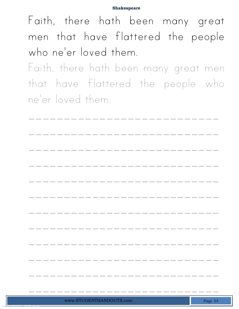Faith, there hath been many great men that have flattered the people who ne'er loved them.

Faith, there hath been many great men that have flattered the people who ne'er loved them.

\_\_\_\_\_\_\_\_\_\_\_\_\_\_\_\_\_\_\_\_\_\_\_\_\_\_\_

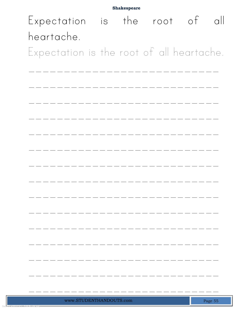# Expectation is the root of all heartache.

Expectation is the root of all heartache.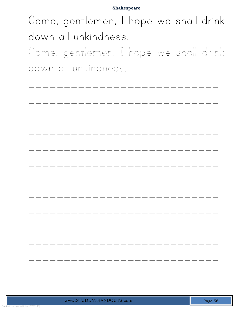# Come, gentlemen, I hope we shall drink down all unkindness.

Come, gentlemen, I hope we shall drink down all unkindness.

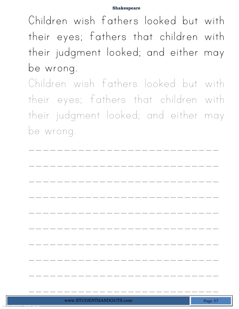Children wish fathers looked but with their eyes; fathers that children with their judgment looked; and either may be wrong.

Children wish fathers looked but with their eyes; fathers that children with their judgment looked; and either may be wrong.

\_\_\_\_\_\_\_\_\_\_\_\_\_\_\_\_\_\_\_\_\_\_\_\_\_\_\_

\_\_\_\_\_\_\_\_\_\_\_\_\_\_\_\_\_\_\_\_\_\_\_\_\_\_\_

\_\_\_\_\_\_\_\_\_\_\_\_\_\_\_\_\_\_\_\_\_\_\_\_\_\_\_

\_\_\_\_\_\_\_\_\_\_\_\_\_\_\_\_\_\_\_\_\_\_\_\_\_\_\_

\_\_\_\_\_\_\_\_\_\_\_\_\_\_\_\_\_\_\_\_\_\_\_\_\_\_\_

\_\_\_\_\_\_\_\_\_\_\_\_\_\_\_\_\_\_\_\_\_\_\_\_\_\_\_

\_\_\_\_\_\_\_\_\_\_\_\_\_\_\_\_\_\_\_\_\_\_\_\_\_\_\_

\_\_\_\_\_\_\_\_\_\_\_\_\_\_\_\_\_\_\_\_\_\_\_\_\_\_\_

\_\_\_\_\_\_\_\_\_\_\_\_\_\_\_\_\_\_\_\_\_\_\_\_\_\_\_

\_\_\_\_\_\_\_\_\_\_\_\_\_\_\_\_\_\_\_\_\_\_\_\_\_\_\_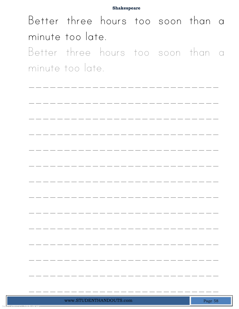Better three hours too soon than a minute too late.

Better three hours too soon than a minute too late.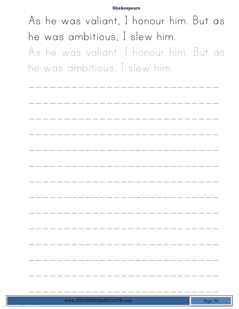### As he was valiant, I honour him. But as he was ambitious, I slew him.

As he was valiant, I honour him. But as he was ambitious, I slew him.

\_ \_\_ \_ \_ \_\_ \_\_ \_\_ \_\_ \_\_ \_\_ \_\_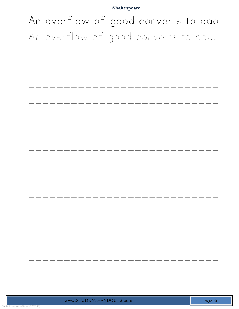# An overflow of good converts to bad. An overflow of good converts to bad.

| - 1<br>- - | $\sim$ |
|------------|--------|
|            |        |
|            |        |
|            |        |
|            |        |
|            |        |
|            |        |
|            |        |
|            |        |
|            |        |
|            |        |
|            |        |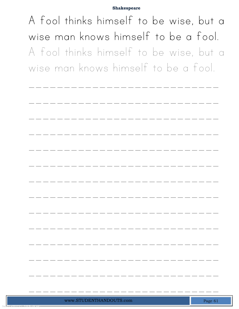A fool thinks himself to be wise, but a wise man knows himself to be a fool. A fool thinks himself to be wise, but a wise man knows himself to be a fool.

\_\_\_\_\_\_\_\_\_\_\_\_\_\_\_\_\_\_\_\_\_\_\_\_\_\_\_

\_\_\_\_\_\_\_\_\_\_\_\_\_\_\_\_\_\_\_\_\_\_\_\_\_\_\_

\_\_\_\_\_\_\_\_\_\_\_\_\_\_\_\_\_\_\_\_\_\_\_\_\_\_\_

\_\_\_\_\_\_\_\_\_\_\_\_\_\_\_\_\_\_\_\_\_\_\_\_\_\_\_

\_\_\_\_\_\_\_\_\_\_\_\_\_\_\_\_\_\_\_\_\_\_\_\_\_\_\_

\_\_\_\_\_\_\_\_\_\_\_\_\_\_\_\_\_\_\_\_\_\_\_\_\_\_\_

\_\_\_\_\_\_\_\_\_\_\_\_\_\_\_\_\_\_\_\_\_\_\_\_\_\_\_

\_\_\_\_\_\_\_\_\_\_\_\_\_\_\_\_\_\_\_\_\_\_\_\_\_\_\_

\_\_\_\_\_\_\_\_\_\_\_\_\_\_\_\_\_\_\_\_\_\_\_\_\_\_\_

\_\_\_\_\_\_\_\_\_\_\_\_\_\_\_\_\_\_\_\_\_\_\_\_\_\_\_

\_\_\_\_\_\_\_\_\_\_\_\_\_\_\_\_\_\_\_\_\_\_\_\_\_\_\_

\_\_\_\_\_\_\_\_\_\_\_\_\_\_\_\_\_\_\_\_\_\_\_\_\_\_\_

\_\_\_\_\_\_\_\_\_\_\_\_\_\_\_\_\_\_\_\_\_\_\_\_\_\_\_

\_\_\_\_\_\_\_\_\_\_\_\_\_\_\_\_\_\_\_\_\_\_\_\_\_\_\_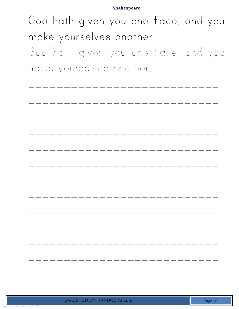God hath given you one face, and you make yourselves another.

God hath given you one face, and you make yourselves another.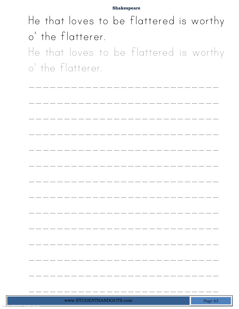### He that loves to be flattered is worthy o' the flatterer.

He that loves to be flattered is worthy o' the flatterer.

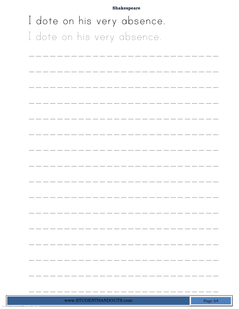# I dote on his very absence. I dote on his very absence.

|  |         | - 11 |                |                   | . <u>.</u>                                                                           | - - |                          |                   | - -<br>- -             |  |  |  |
|--|---------|------|----------------|-------------------|--------------------------------------------------------------------------------------|-----|--------------------------|-------------------|------------------------|--|--|--|
|  |         |      |                | $\sim$ 100 $\sim$ | <u>. _ _ _ _ _ _ _ _ _ _</u>                                                         |     |                          |                   |                        |  |  |  |
|  |         |      |                |                   |                                                                                      |     |                          |                   |                        |  |  |  |
|  | $=$ $-$ |      | $\overline{a}$ | $\equiv$ $\equiv$ | كالمستد المستر المستر المستر المستر المستر المستر المستر المستر المستر المستر المستر |     |                          |                   |                        |  |  |  |
|  |         |      |                |                   |                                                                                      |     | $\overline{\phantom{a}}$ |                   | $\overline{a}$         |  |  |  |
|  |         |      |                |                   |                                                                                      |     |                          |                   |                        |  |  |  |
|  |         |      |                |                   |                                                                                      |     | _ __ __ __ __ __ __ __   |                   |                        |  |  |  |
|  |         |      |                |                   |                                                                                      |     |                          |                   |                        |  |  |  |
|  |         |      |                |                   | - -                                                                                  |     |                          | — <i>—</i><br>- - | - -                    |  |  |  |
|  |         |      |                |                   |                                                                                      |     |                          |                   | __ ___ ___ ___ ___ ___ |  |  |  |
|  |         |      |                |                   |                                                                                      |     |                          |                   |                        |  |  |  |
|  |         |      |                |                   |                                                                                      |     |                          |                   |                        |  |  |  |
|  |         |      |                |                   |                                                                                      |     |                          |                   |                        |  |  |  |
|  |         |      |                |                   |                                                                                      |     |                          |                   |                        |  |  |  |
|  |         |      |                |                   |                                                                                      |     |                          |                   |                        |  |  |  |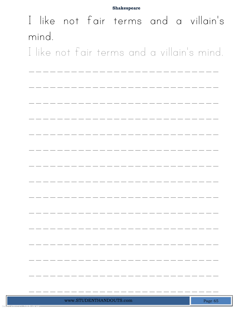I like not fair terms and a villain's mind.

I like not fair terms and a villain's mind.

 $\overline{a}$ 

\_ \_\_ \_\_ \_\_ \_\_

\_\_ \_\_\_ \_\_\_ \_\_

 $\sim$ 

 $\overline{a}$ 

www.STUDENTHANDOUTS.com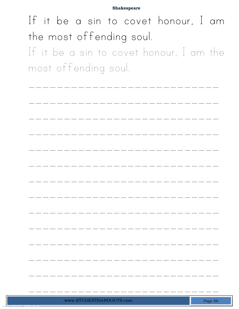## If it be a sin to covet honour, I am the most offending soul.

If it be a sin to covet honour, I am the most offending soul.

\_\_ \_\_ \_\_ \_\_ \_\_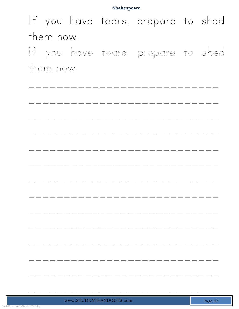If you have tears, prepare to shed them now.

If you have tears, prepare to shed them now.

| a a |  |
|-----|--|
|     |  |
|     |  |
|     |  |
|     |  |
|     |  |
|     |  |
|     |  |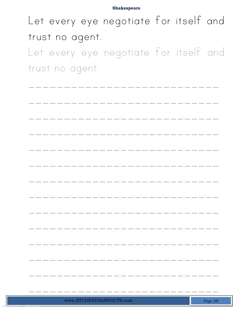Let every eye negotiate for itself and trust no agent.

Let every eye negotiate for itself and trust no agent.

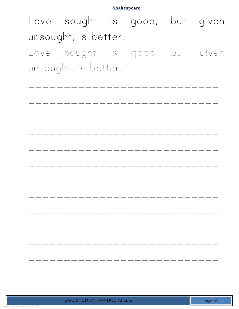Love sought is good, but given unsought, is better.

Love sought is good, but given unsought, is better.

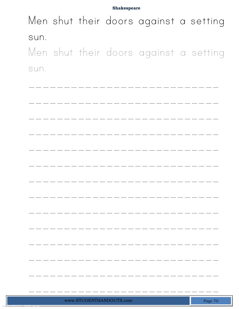Men shut their doors against a setting sun.

Men shut their doors against a setting sun.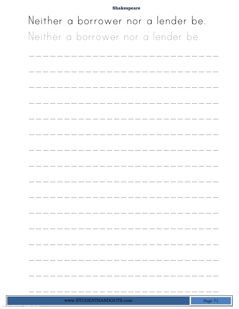### Neither a borrower nor a lender be. Neither a borrower nor a lender be.

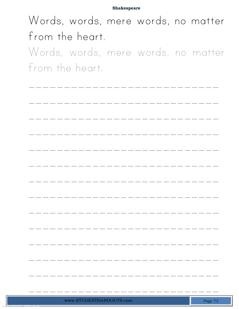Words, words, mere words, no matter from the heart.

Words, words, mere words, no matter from the heart.

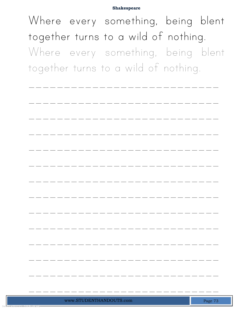Where every something, being blent together turns to a wild of nothing. Where every something, being blent together turns to a wild of nothing.

\_\_\_\_\_\_\_\_\_\_\_\_\_\_\_\_\_\_\_\_\_\_\_\_\_\_\_

\_\_\_\_\_\_\_\_\_\_\_\_\_\_\_\_\_\_\_\_\_\_\_\_\_\_\_

\_\_\_\_\_\_\_\_\_\_\_\_\_\_\_\_\_\_\_\_\_\_\_\_\_\_\_

\_\_\_\_\_\_\_\_\_\_\_\_\_\_\_\_\_\_\_\_\_\_\_\_\_\_\_

\_\_\_\_\_\_\_\_\_\_\_\_\_\_\_\_\_\_\_\_\_\_\_\_\_\_\_

\_\_\_\_\_\_\_\_\_\_\_\_\_\_\_\_\_\_\_\_\_\_\_\_\_\_\_

\_\_\_\_\_\_\_\_\_\_\_\_\_\_\_\_\_\_\_\_\_\_\_\_\_\_\_

\_\_\_\_\_\_\_\_\_\_\_\_\_\_\_\_\_\_\_\_\_\_\_\_\_\_\_

\_\_\_\_\_\_\_\_\_\_\_\_\_\_\_\_\_\_\_\_\_\_\_\_\_\_\_

\_\_\_\_\_\_\_\_\_\_\_\_\_\_\_\_\_\_\_\_\_\_\_\_\_\_\_

\_\_\_\_\_\_\_\_\_\_\_\_\_\_\_\_\_\_\_\_\_\_\_\_\_\_\_

\_\_\_\_\_\_\_\_\_\_\_\_\_\_\_\_\_\_\_\_\_\_\_\_\_\_\_

\_\_\_\_\_\_\_\_\_\_\_\_\_\_\_\_\_\_\_\_\_\_\_\_\_\_\_

\_\_\_\_\_\_\_\_\_\_\_\_\_\_\_\_\_\_\_\_\_\_\_\_\_\_\_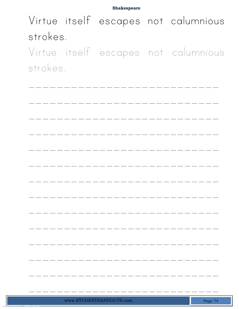# Virtue itself escapes not calumnious strokes.

Virtue itself escapes not calumnious strokes.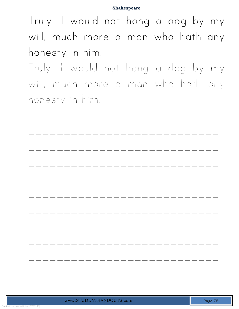Truly, I would not hang a dog by my will, much more a man who hath any honesty in him.

Truly, I would not hang a dog by my will, much more a man who hath any honesty in him.

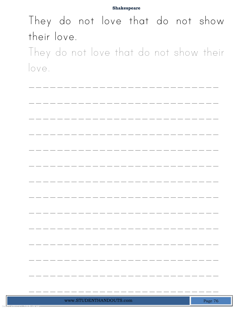They do not love that do not show their love.

They do not love that do not show their love.

|  | _ __ __ __ __ __ |  |
|--|------------------|--|
|  | $=$ $  -$        |  |
|  |                  |  |
|  |                  |  |
|  |                  |  |
|  |                  |  |
|  |                  |  |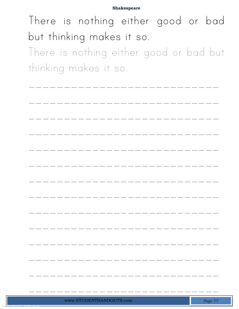# There is nothing either good or bad but thinking makes it so.

There is nothing either good or bad but thinking makes it so.

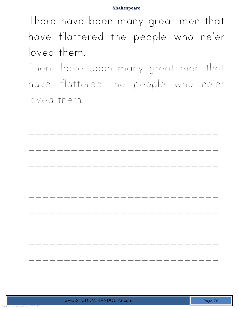There have been many great men that have flattered the people who ne'er loved them.

There have been many great men that have flattered the people who ne'er loved them.

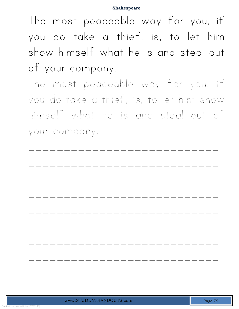The most peaceable way for you, if you do take a thief, is, to let him show himself what he is and steal out of your company.

The most peaceable way for you, if you do take a thief, is, to let him show himself what he is and steal out of your company.

\_\_\_\_\_\_\_\_\_\_\_\_\_\_\_\_\_\_\_\_\_\_\_\_\_\_\_

\_\_\_\_\_\_\_\_\_\_\_\_\_\_\_\_\_\_\_\_\_\_\_\_\_\_\_

\_\_\_\_\_\_\_\_\_\_\_\_\_\_\_\_\_\_\_\_\_\_\_\_\_\_\_

\_\_\_\_\_\_\_\_\_\_\_\_\_\_\_\_\_\_\_\_\_\_\_\_\_\_\_

\_\_\_\_\_\_\_\_\_\_\_\_\_\_\_\_\_\_\_\_\_\_\_\_\_\_\_

\_\_\_\_\_\_\_\_\_\_\_\_\_\_\_\_\_\_\_\_\_\_\_\_\_\_\_

\_\_\_\_\_\_\_\_\_\_\_\_\_\_\_\_\_\_\_\_\_\_\_\_\_\_\_

\_\_\_\_\_\_\_\_\_\_\_\_\_\_\_\_\_\_\_\_\_\_\_\_\_\_\_

\_\_\_\_\_\_\_\_\_\_\_\_\_\_\_\_\_\_\_\_\_\_\_\_\_\_\_

\_\_\_\_\_\_\_\_\_\_\_\_\_\_\_\_\_\_\_\_\_\_\_\_\_\_\_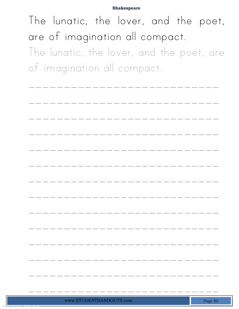The lunatic, the lover, and the poet, are of imagination all compact.

The lunatic, the lover, and the poet, are of imagination all compact.

\_\_\_\_\_\_\_\_\_\_\_\_\_\_\_\_\_\_\_\_\_\_\_\_\_\_\_

\_\_\_\_\_\_\_\_\_\_\_\_\_\_\_\_\_\_\_\_\_\_\_\_\_\_\_ \_\_\_\_\_\_\_\_\_\_\_\_\_\_\_\_\_\_\_\_\_\_\_\_\_\_\_ \_\_\_\_\_\_\_\_\_\_\_\_\_\_\_\_\_\_\_\_\_\_\_\_\_\_\_ \_\_\_\_\_\_\_\_\_\_\_\_\_\_\_\_\_\_\_\_\_\_\_\_\_\_\_ \_\_\_\_\_\_\_\_\_\_\_\_\_\_\_\_\_\_\_\_\_\_\_\_\_\_\_ \_\_\_\_\_\_\_\_\_\_\_\_\_\_\_\_\_\_\_\_\_\_\_\_\_\_\_ \_\_\_\_\_\_\_\_\_\_\_\_\_\_\_\_\_\_\_\_\_\_\_\_\_\_\_ \_\_\_\_\_\_\_\_\_\_\_\_\_\_\_\_\_\_\_\_\_\_\_\_\_\_\_ \_\_\_\_\_\_\_\_\_\_\_\_\_\_\_\_\_\_\_\_\_\_\_\_\_\_\_ \_\_\_\_\_\_\_\_\_\_\_\_\_\_\_\_\_\_\_\_\_\_\_\_\_\_\_ \_\_\_\_\_\_\_\_\_\_\_\_\_\_\_\_\_\_\_\_\_\_\_\_\_\_\_ \_\_\_\_\_\_\_\_\_\_\_\_\_\_\_\_\_\_\_\_\_\_\_\_\_\_\_ \_\_\_\_\_\_\_\_\_\_\_\_\_\_\_\_\_\_\_\_\_\_\_\_\_\_\_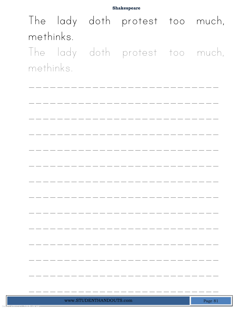The lady doth protest too much, methinks.

The lady doth protest too much, methinks.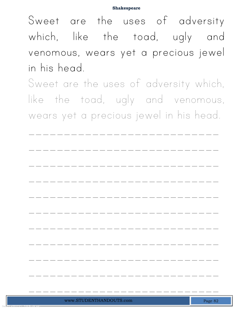Sweet are the uses of adversity which, like the toad, ugly and venomous, wears yet a precious jewel in his head.

Sweet are the uses of adversity which, like the toad, ugly and venomous, wears yet a precious jewel in his head.

\_\_\_\_\_\_\_\_\_\_\_\_\_\_\_\_\_\_\_\_\_\_\_\_\_\_\_

\_\_\_\_\_\_\_\_\_\_\_\_\_\_\_\_\_\_\_\_\_\_\_\_\_\_\_

\_\_\_\_\_\_\_\_\_\_\_\_\_\_\_\_\_\_\_\_\_\_\_\_\_\_\_

\_\_\_\_\_\_\_\_\_\_\_\_\_\_\_\_\_\_\_\_\_\_\_\_\_\_\_

\_\_\_\_\_\_\_\_\_\_\_\_\_\_\_\_\_\_\_\_\_\_\_\_\_\_\_

\_\_\_\_\_\_\_\_\_\_\_\_\_\_\_\_\_\_\_\_\_\_\_\_\_\_\_

\_\_\_\_\_\_\_\_\_\_\_\_\_\_\_\_\_\_\_\_\_\_\_\_\_\_\_

\_\_\_\_\_\_\_\_\_\_\_\_\_\_\_\_\_\_\_\_\_\_\_\_\_\_\_

\_\_\_\_\_\_\_\_\_\_\_\_\_\_\_\_\_\_\_\_\_\_\_\_\_\_\_

\_\_\_\_\_\_\_\_\_\_\_\_\_\_\_\_\_\_\_\_\_\_\_\_\_\_\_

\_\_\_\_\_\_\_\_\_\_\_\_\_\_\_\_\_\_\_\_\_\_\_\_\_\_\_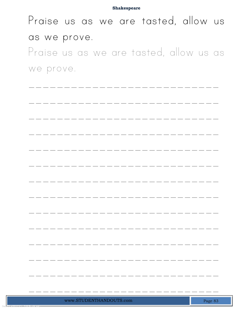Praise us as we are tasted, allow us as we prove.

Praise us as we are tasted, allow us as we prove.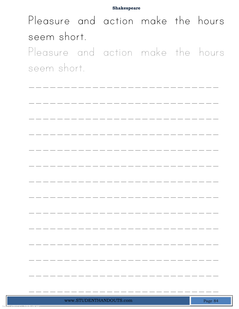Pleasure and action make the hours seem short.

Pleasure and action make the hours seem short.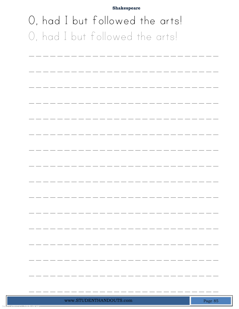# O, had I but followed the arts! 0, had I but followed the arts!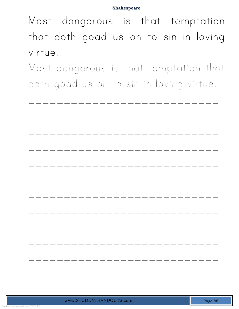Most dangerous is that temptation that doth goad us on to sin in loving virtue.

Most dangerous is that temptation that doth goad us on to sin in loving virtue.

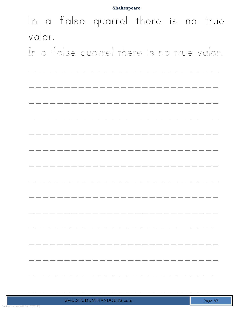In a false quarrel there is no true valor.

In a false quarrel there is no true valor.

www.STUDENTHANDOUTS.com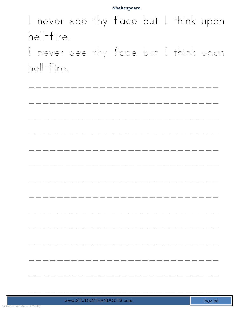# I never see thy face but I think upon hell-fire.

I never see thy face but I think upon hell-fire.

|  |               | — —                                |                |
|--|---------------|------------------------------------|----------------|
|  | $\mathcal{L}$ | $\overline{a}$<br>$   -$<br>$\sim$ | $\overline{a}$ |
|  |               |                                    |                |
|  |               |                                    |                |
|  |               |                                    |                |
|  |               |                                    |                |
|  |               |                                    |                |
|  |               |                                    |                |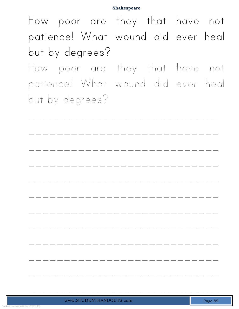How poor are they that have not patience! What wound did ever heal but by degrees?

How poor are they that have not patience! What wound did ever heal but by degrees?

\_\_\_\_\_\_\_\_\_\_\_\_\_\_\_\_\_\_\_\_\_\_\_\_\_\_\_

\_\_\_\_\_\_\_\_\_\_\_\_\_\_\_\_\_\_\_\_\_\_\_\_\_\_\_ \_\_\_\_\_\_\_\_\_\_\_\_\_\_\_\_\_\_\_\_\_\_\_\_\_\_\_ \_\_\_\_\_\_\_\_\_\_\_\_\_\_\_\_\_\_\_\_\_\_\_\_\_\_\_ \_\_\_\_\_\_\_\_\_\_\_\_\_\_\_\_\_\_\_\_\_\_\_\_\_\_\_ \_\_\_\_\_\_\_\_\_\_\_\_\_\_\_\_\_\_\_\_\_\_\_\_\_\_\_ \_\_\_\_\_\_\_\_\_\_\_\_\_\_\_\_\_\_\_\_\_\_\_\_\_\_\_ \_\_\_\_\_\_\_\_\_\_\_\_\_\_\_\_\_\_\_\_\_\_\_\_\_\_\_ \_\_\_\_\_\_\_\_\_\_\_\_\_\_\_\_\_\_\_\_\_\_\_\_\_\_\_ \_\_\_\_\_\_\_\_\_\_\_\_\_\_\_\_\_\_\_\_\_\_\_\_\_\_\_ \_\_\_\_\_\_\_\_\_\_\_\_\_\_\_\_\_\_\_\_\_\_\_\_\_\_\_ \_\_\_\_\_\_\_\_\_\_\_\_\_\_\_\_\_\_\_\_\_\_\_\_\_\_\_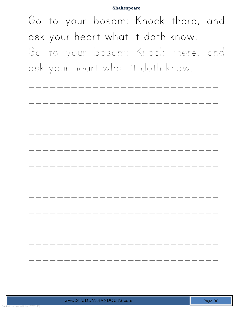Go to your bosom: Knock there, and ask your heart what it doth know.

Go to your bosom: Knock there, and ask your heart what it doth know.

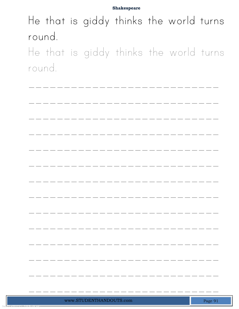He that is giddy thinks the world turns round.

He that is giddy thinks the world turns round.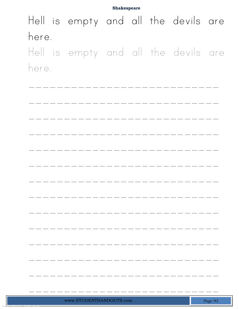Hell is empty and all the devils are here.

Hell is empty and all the devils are here.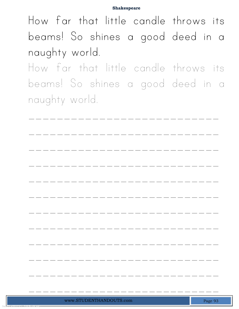How far that little candle throws its beams! So shines a good deed in a naughty world.

How far that little candle throws its beams! So shines a good deed in a naughty world.

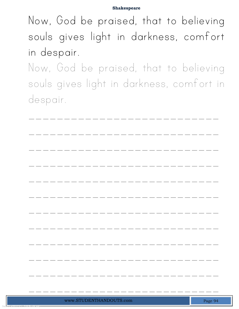Now, God be praised, that to believing souls gives light in darkness, comfort in despair.

Now, God be praised, that to believing souls gives light in darkness, comfort in despair.

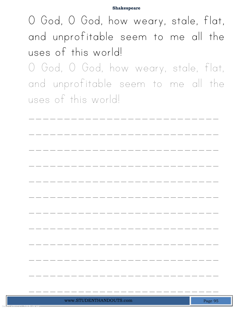O God, O God, how weary, stale, flat, and unprofitable seem to me all the uses of this world!

O God, O God, how weary, stale, flat, and unprofitable seem to me all the uses of this world!

\_\_\_\_\_\_\_\_\_\_\_\_\_\_\_\_\_\_\_\_\_\_\_\_\_\_\_

\_\_\_\_\_\_\_\_\_\_\_\_\_\_\_\_\_\_\_\_\_\_\_\_\_\_\_

\_\_\_\_\_\_\_\_\_\_\_\_\_\_\_\_\_\_\_\_\_\_\_\_\_\_\_ \_\_\_\_\_\_\_\_\_\_\_\_\_\_\_\_\_\_\_\_\_\_\_\_\_\_\_ \_\_\_\_\_\_\_\_\_\_\_\_\_\_\_\_\_\_\_\_\_\_\_\_\_\_\_ \_\_\_\_\_\_\_\_\_\_\_\_\_\_\_\_\_\_\_\_\_\_\_\_\_\_\_ \_\_\_\_\_\_\_\_\_\_\_\_\_\_\_\_\_\_\_\_\_\_\_\_\_\_\_ \_\_\_\_\_\_\_\_\_\_\_\_\_\_\_\_\_\_\_\_\_\_\_\_\_\_\_ \_\_\_\_\_\_\_\_\_\_\_\_\_\_\_\_\_\_\_\_\_\_\_\_\_\_\_ \_\_\_\_\_\_\_\_\_\_\_\_\_\_\_\_\_\_\_\_\_\_\_\_\_\_\_ \_\_\_\_\_\_\_\_\_\_\_\_\_\_\_\_\_\_\_\_\_\_\_\_\_\_\_ \_\_\_\_\_\_\_\_\_\_\_\_\_\_\_\_\_\_\_\_\_\_\_\_\_\_\_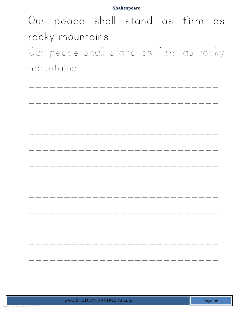Our peace shall stand as firm as rocky mountains.

Our peace shall stand as firm as rocky mountains.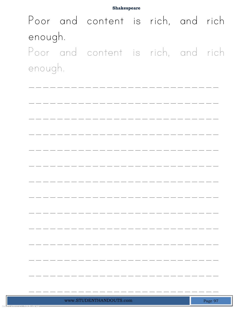Poor and content is rich, and rich enough.

Poor and content is rich, and rich enough.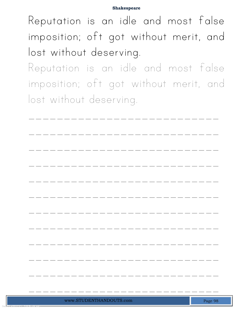Reputation is an idle and most false imposition; oft got without merit, and lost without deserving.

Reputation is an idle and most false imposition; oft got without merit, and lost without deserving.

\_\_\_\_\_\_\_\_\_\_\_\_\_\_\_\_\_\_\_\_\_\_\_\_\_\_\_

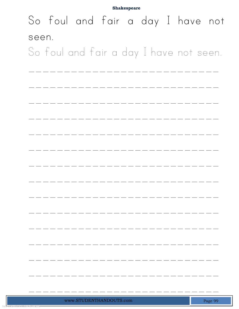# So foul and fair a day I have not seen.

So foul and fair a day I have not seen.

 $\overline{\phantom{a}}$ 

- -- -- -- -- -

\_ \_\_ \_\_ \_\_ \_\_ \_\_ \_\_

 $\overline{a}$ 

<u>. . </u>

 $\overline{\phantom{a}}$  $\overline{\phantom{a}}$  $\overline{\phantom{a}}$  $\overline{\phantom{a}}$ 

www.STUDENTHANDOUTS.com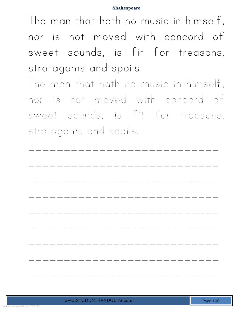The man that hath no music in himself, nor is not moved with concord of sweet sounds, is fit for treasons, stratagems and spoils.

The man that hath no music in himself, nor is not moved with concord of sweet sounds, is fit for treasons, stratagems and spoils.

\_\_\_\_\_\_\_\_\_\_\_\_\_\_\_\_\_\_\_\_\_\_\_\_\_\_\_

\_\_\_\_\_\_\_\_\_\_\_\_\_\_\_\_\_\_\_\_\_\_\_\_\_\_\_

\_\_\_\_\_\_\_\_\_\_\_\_\_\_\_\_\_\_\_\_\_\_\_\_\_\_\_

\_\_\_\_\_\_\_\_\_\_\_\_\_\_\_\_\_\_\_\_\_\_\_\_\_\_\_

\_\_\_\_\_\_\_\_\_\_\_\_\_\_\_\_\_\_\_\_\_\_\_\_\_\_\_

\_\_\_\_\_\_\_\_\_\_\_\_\_\_\_\_\_\_\_\_\_\_\_\_\_\_\_

\_\_\_\_\_\_\_\_\_\_\_\_\_\_\_\_\_\_\_\_\_\_\_\_\_\_\_

\_\_\_\_\_\_\_\_\_\_\_\_\_\_\_\_\_\_\_\_\_\_\_\_\_\_\_

\_\_\_\_\_\_\_\_\_\_\_\_\_\_\_\_\_\_\_\_\_\_\_\_\_\_\_

\_\_\_\_\_\_\_\_\_\_\_\_\_\_\_\_\_\_\_\_\_\_\_\_\_\_\_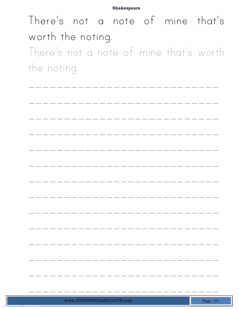There's not a note of mine that's worth the noting.

There's not a note of mine that's worth the noting.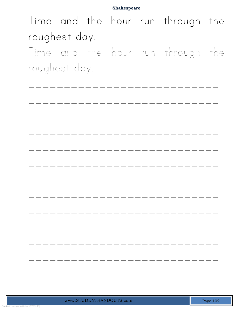Time and the hour run through the roughest day.

Time and the hour run through the roughest day.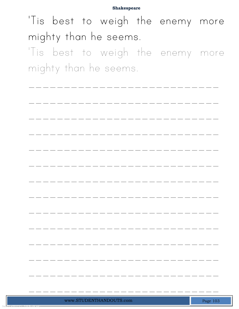# 'Tis best to weigh the enemy more mighty than he seems.

'Tis best to weigh the enemy more mighty than he seems.

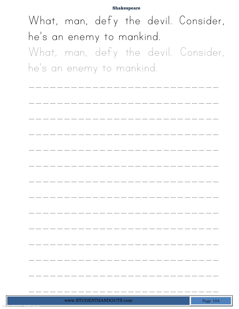# What, man, defy the devil. Consider, he's an enemy to mankind.

What, man, defy the devil. Consider, he's an enemy to mankind.

\_ \_\_ \_\_ \_\_ \_\_ \_\_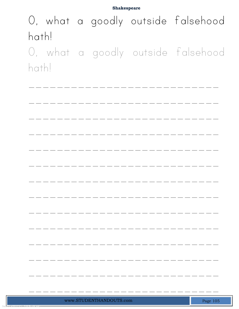O, what a goodly outside falsehood hath!

O, what a goodly outside falsehood hathl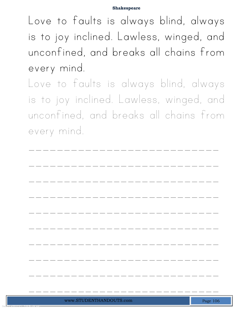Love to faults is always blind, always is to joy inclined. Lawless, winged, and unconfined, and breaks all chains from every mind.

Love to faults is always blind, always is to joy inclined. Lawless, winged, and unconfined, and breaks all chains from every mind.

\_\_\_\_\_\_\_\_\_\_\_\_\_\_\_\_\_\_\_\_\_\_\_\_\_\_\_

\_\_\_\_\_\_\_\_\_\_\_\_\_\_\_\_\_\_\_\_\_\_\_\_\_\_\_

\_\_\_\_\_\_\_\_\_\_\_\_\_\_\_\_\_\_\_\_\_\_\_\_\_\_\_

\_\_\_\_\_\_\_\_\_\_\_\_\_\_\_\_\_\_\_\_\_\_\_\_\_\_\_

\_\_\_\_\_\_\_\_\_\_\_\_\_\_\_\_\_\_\_\_\_\_\_\_\_\_\_

\_\_\_\_\_\_\_\_\_\_\_\_\_\_\_\_\_\_\_\_\_\_\_\_\_\_\_

\_\_\_\_\_\_\_\_\_\_\_\_\_\_\_\_\_\_\_\_\_\_\_\_\_\_\_

\_\_\_\_\_\_\_\_\_\_\_\_\_\_\_\_\_\_\_\_\_\_\_\_\_\_\_

\_\_\_\_\_\_\_\_\_\_\_\_\_\_\_\_\_\_\_\_\_\_\_\_\_\_\_

\_\_\_\_\_\_\_\_\_\_\_\_\_\_\_\_\_\_\_\_\_\_\_\_\_\_\_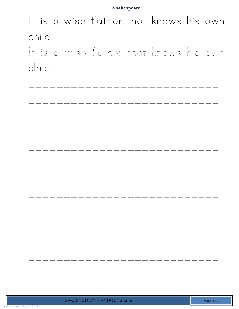It is a wise father that knows his own child.

It is a wise father that knows his own child.

|  | $\overline{a}$<br>- -<br>- - |  |
|--|------------------------------|--|
|  |                              |  |
|  | a la                         |  |
|  |                              |  |
|  |                              |  |
|  |                              |  |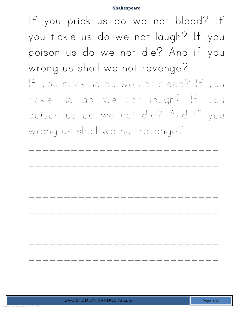If you prick us do we not bleed? If you tickle us do we not laugh? If you poison us do we not die? And if you wrong us shall we not revenge? If you prick us do we not bleed? If you tickle us do we not laugh? If you poison us do we not die? And if you wrong us shall we not revenge?

\_\_\_\_\_\_\_\_\_\_\_\_\_\_\_\_\_\_\_\_\_\_\_\_\_\_\_

\_\_\_\_\_\_\_\_\_\_\_\_\_\_\_\_\_\_\_\_\_\_\_\_\_\_\_

\_\_\_\_\_\_\_\_\_\_\_\_\_\_\_\_\_\_\_\_\_\_\_\_\_\_\_

\_\_\_\_\_\_\_\_\_\_\_\_\_\_\_\_\_\_\_\_\_\_\_\_\_\_\_

\_\_\_\_\_\_\_\_\_\_\_\_\_\_\_\_\_\_\_\_\_\_\_\_\_\_\_

\_\_\_\_\_\_\_\_\_\_\_\_\_\_\_\_\_\_\_\_\_\_\_\_\_\_\_

\_\_\_\_\_\_\_\_\_\_\_\_\_\_\_\_\_\_\_\_\_\_\_\_\_\_\_

\_\_\_\_\_\_\_\_\_\_\_\_\_\_\_\_\_\_\_\_\_\_\_\_\_\_\_

\_\_\_\_\_\_\_\_\_\_\_\_\_\_\_\_\_\_\_\_\_\_\_\_\_\_\_

\_\_\_\_\_\_\_\_\_\_\_\_\_\_\_\_\_\_\_\_\_\_\_\_\_\_\_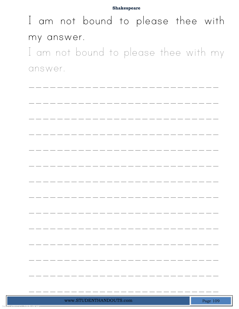I am not bound to please thee with my answer.

I am not bound to please thee with my answer.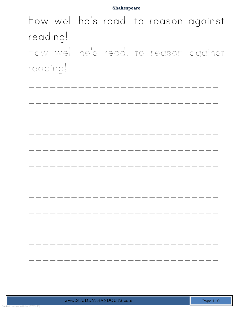# How well he's read, to reason against reading!

How well he's read, to reason against reading!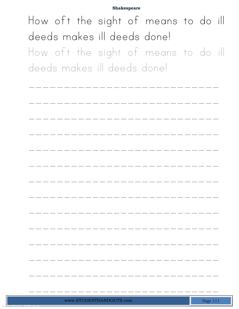# How oft the sight of means to do ill deeds makes ill deeds done!

How oft the sight of means to do ill deeds makes ill deeds done!

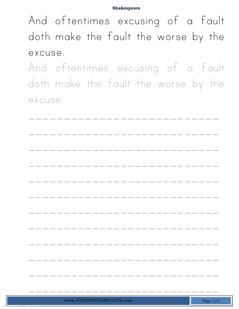And oftentimes excusing of a fault doth make the fault the worse by the excuse.

And oftentimes excusing of a fault doth make the fault the worse by the excuse.

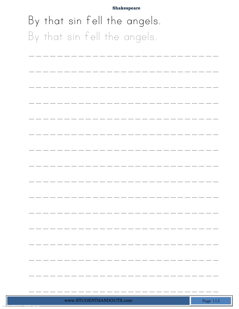# By that sin fell the angels. By that sin fell the angels.

|  | - -<br>- -<br>- - | — <i>—</i><br>- - | - -<br>- -<br><u>— —</u> | - -<br>- -<br>- - | - - |  |
|--|-------------------|-------------------|--------------------------|-------------------|-----|--|
|  |                   |                   |                          | . .               |     |  |
|  |                   |                   |                          |                   |     |  |
|  |                   |                   |                          | $\sim$<br>. .     |     |  |
|  |                   |                   |                          | - -               |     |  |
|  |                   |                   |                          | - -<br>- -<br>- - |     |  |
|  |                   |                   | - -<br>- -               |                   |     |  |
|  |                   |                   |                          |                   |     |  |
|  |                   |                   |                          |                   |     |  |
|  |                   |                   |                          |                   |     |  |
|  |                   |                   |                          |                   |     |  |
|  |                   |                   |                          |                   |     |  |
|  |                   |                   |                          |                   |     |  |
|  |                   |                   |                          |                   |     |  |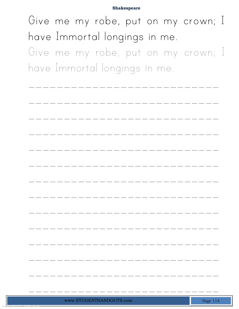Give me my robe, put on my crown; I have Immortal longings in me.

Give me my robe, put on my crown; I have Immortal longings in me.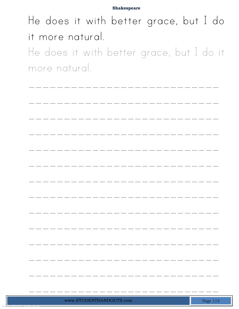### He does it with better grace, but I do it more natural.

He does it with better grace, but  $I$  do it more natural.

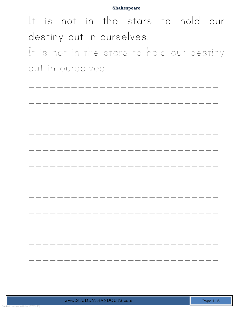## It is not in the stars to hold our destiny but in ourselves.

It is not in the stars to hold our destiny but in ourselves.

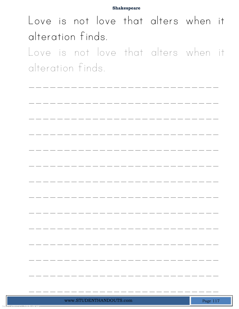### Love is not love that alters when it alteration finds.

Love is not love that alters when it alteration finds.

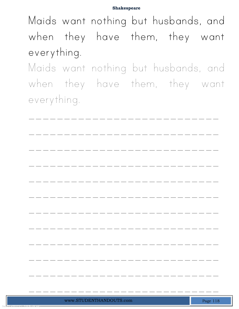Maids want nothing but husbands, and when they have them, they want everything.

Maids want nothing but husbands, and when they have them, they want everything.

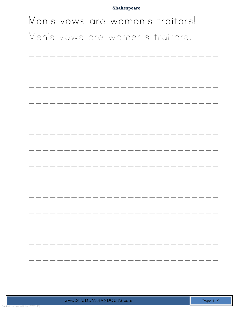### Men's vows are women's traitors! Men's vows are women's traitors!

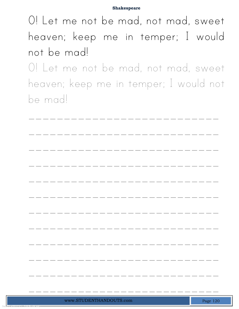O! Let me not be mad, not mad, sweet heaven; keep me in temper; I would not be mad!

O! Let me not be mad, not mad, sweet heaven; keep me in temper; I would not be mad!

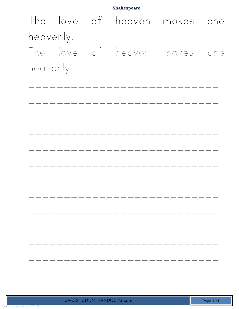The love of heaven makes one heavenly.

The love of heaven makes one heavenly.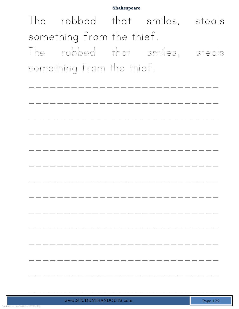## The robbed that smiles, steals something from the thief.

The robbed that smiles, steals something from the thief.

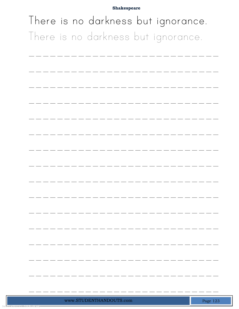## There is no darkness but ignorance. There is no darkness but ignorance.

|     | - -<br>$\sim$<br>- - | - -- -- -- -- -- -<br>- - | - -        |
|-----|----------------------|---------------------------|------------|
|     |                      |                           |            |
|     | - -<br>. .           | - -<br>- -<br>- -         | - -        |
|     | - -<br>- -           | _______<br>- -            | - -        |
|     |                      |                           |            |
|     |                      |                           |            |
|     |                      |                           |            |
|     |                      |                           |            |
| - - | $\sim$<br>- -<br>- - | __ ___ ___ ___ __         | - -<br>- - |
|     |                      | $\overline{\phantom{a}}$  |            |
|     |                      |                           |            |
|     |                      |                           |            |
|     |                      |                           |            |
|     |                      |                           |            |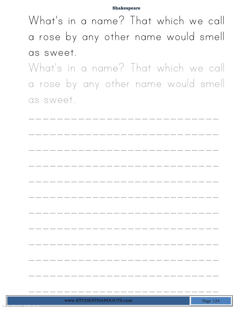What's in a name? That which we call a rose by any other name would smell as sweet.

What's in a name? That which we call a rose by any other name would smell as sweet.

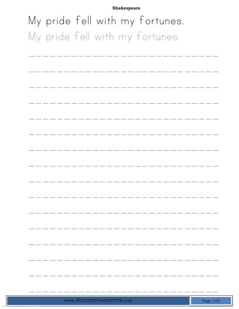$\overline{a}$  $\overline{\phantom{a}}$ 

\_ \_\_ \_

 $\overline{\phantom{a}}$ 

# My pride fell with my fortunes. My pride fell with my fortunes.

 $\overline{a}$ 

www.STUDENTHANDOUTS.com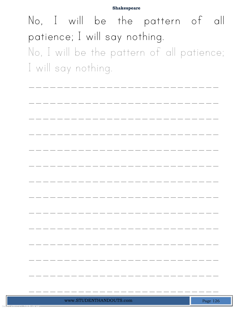No, I will be the pattern of all patience; I will say nothing. No, I will be the pattern of all patience; I will say nothing.

|     | — <i>—</i><br>سي ب<br>- 11 |  |
|-----|----------------------------|--|
|     |                            |  |
| . . | ш.                         |  |
|     | $\overline{a}$             |  |
|     |                            |  |
|     |                            |  |
|     |                            |  |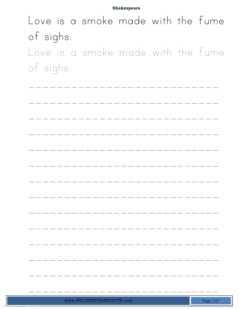Love is a smoke made with the fume of sighs.

Love is a smoke made with the fume of sighs.

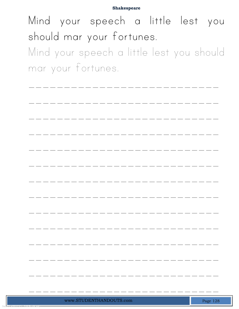## Mind your speech a little lest you should mar your fortunes.

Mind your speech a little lest you should mar your fortunes.

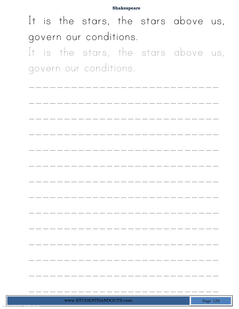### It is the stars, the stars above us, govern our conditions.

It is the stars, the stars above us, govern our conditions.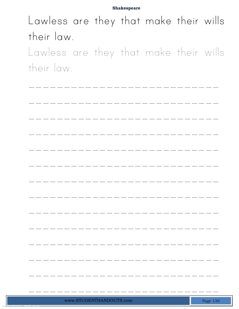Lawless are they that make their wills their law.

Lawless are they that make their wills their law.

|                                                          | -------------------                                                                   |  |
|----------------------------------------------------------|---------------------------------------------------------------------------------------|--|
|                                                          | — <i>—</i><br>- - -                                                                   |  |
|                                                          |                                                                                       |  |
| $\overline{\phantom{a}}$<br>_ ___ ___ __<br>$\mathbf{r}$ | كالمساحب المساريسية المساريسية المساريسية المساريسية المساريسية المساريسية المساريسية |  |
|                                                          | - -- -<br>- -                                                                         |  |
|                                                          |                                                                                       |  |
|                                                          | $\sim$<br>- -                                                                         |  |
|                                                          |                                                                                       |  |
|                                                          |                                                                                       |  |
|                                                          |                                                                                       |  |
|                                                          |                                                                                       |  |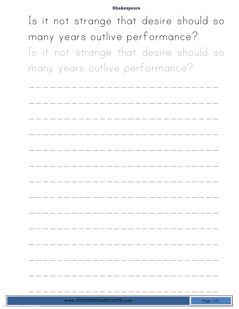Is it not strange that desire should so many years outlive performance? Is it not strange that desire should so many years outlive performance?

\_\_\_\_\_\_\_\_\_\_\_\_\_\_\_\_\_\_\_\_\_\_\_\_\_\_\_

\_\_\_\_\_\_\_\_\_\_\_\_\_\_\_\_\_\_\_\_\_\_\_\_\_\_\_

\_\_\_\_\_\_\_\_\_\_\_\_\_\_\_\_\_\_\_\_\_\_\_\_\_\_\_

\_\_\_\_\_\_\_\_\_\_\_\_\_\_\_\_\_\_\_\_\_\_\_\_\_\_\_

\_\_\_\_\_\_\_\_\_\_\_\_\_\_\_\_\_\_\_\_\_\_\_\_\_\_\_

\_\_\_\_\_\_\_\_\_\_\_\_\_\_\_\_\_\_\_\_\_\_\_\_\_\_\_

\_\_\_\_\_\_\_\_\_\_\_\_\_\_\_\_\_\_\_\_\_\_\_\_\_\_\_

\_\_\_\_\_\_\_\_\_\_\_\_\_\_\_\_\_\_\_\_\_\_\_\_\_\_\_

\_\_\_\_\_\_\_\_\_\_\_\_\_\_\_\_\_\_\_\_\_\_\_\_\_\_\_

\_\_\_\_\_\_\_\_\_\_\_\_\_\_\_\_\_\_\_\_\_\_\_\_\_\_\_

\_\_\_\_\_\_\_\_\_\_\_\_\_\_\_\_\_\_\_\_\_\_\_\_\_\_\_

\_\_\_\_\_\_\_\_\_\_\_\_\_\_\_\_\_\_\_\_\_\_\_\_\_\_\_

\_\_\_\_\_\_\_\_\_\_\_\_\_\_\_\_\_\_\_\_\_\_\_\_\_\_\_

\_\_\_\_\_\_\_\_\_\_\_\_\_\_\_\_\_\_\_\_\_\_\_\_\_\_\_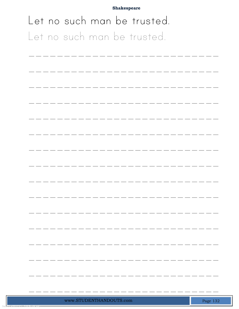### Let no such man be trusted. Let no such man be trusted.

\_ \_\_ \_

- -

 $\overline{\phantom{a}}$ 

 $\overline{a}$ 

\_\_\_

 $\overline{\phantom{a}}$ 

- -

- -- -

\_\_

\_ \_\_ \_\_ \_\_ \_\_

- -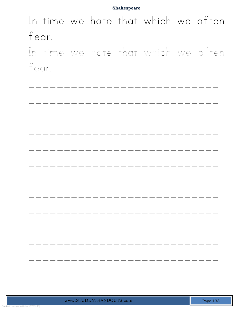In time we hate that which we often fear.

In time we hate that which we often fear.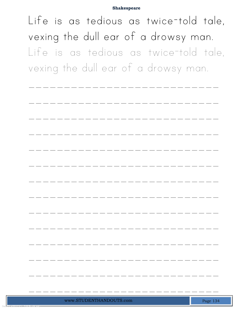Life is as tedious as twice-told tale, vexing the dull ear of a drowsy man. Life is as tedious as twice-told tale, vexing the dull ear of a drowsy man.

\_\_\_\_\_\_\_\_\_\_\_\_\_\_\_\_\_\_\_\_\_\_\_\_\_\_\_

\_\_\_\_\_\_\_\_\_\_\_\_\_\_\_\_\_\_\_\_\_\_\_\_\_\_\_ \_\_\_\_\_\_\_\_\_\_\_\_\_\_\_\_\_\_\_\_\_\_\_\_\_\_\_ \_\_\_\_\_\_\_\_\_\_\_\_\_\_\_\_\_\_\_\_\_\_\_\_\_\_\_ \_\_\_\_\_\_\_\_\_\_\_\_\_\_\_\_\_\_\_\_\_\_\_\_\_\_\_ \_\_\_\_\_\_\_\_\_\_\_\_\_\_\_\_\_\_\_\_\_\_\_\_\_\_\_ \_\_\_\_\_\_\_\_\_\_\_\_\_\_\_\_\_\_\_\_\_\_\_\_\_\_\_ \_\_\_\_\_\_\_\_\_\_\_\_\_\_\_\_\_\_\_\_\_\_\_\_\_\_\_ \_\_\_\_\_\_\_\_\_\_\_\_\_\_\_\_\_\_\_\_\_\_\_\_\_\_\_ \_\_\_\_\_\_\_\_\_\_\_\_\_\_\_\_\_\_\_\_\_\_\_\_\_\_\_ \_\_\_\_\_\_\_\_\_\_\_\_\_\_\_\_\_\_\_\_\_\_\_\_\_\_\_ \_\_\_\_\_\_\_\_\_\_\_\_\_\_\_\_\_\_\_\_\_\_\_\_\_\_\_ \_\_\_\_\_\_\_\_\_\_\_\_\_\_\_\_\_\_\_\_\_\_\_\_\_\_\_ \_\_\_\_\_\_\_\_\_\_\_\_\_\_\_\_\_\_\_\_\_\_\_\_\_\_\_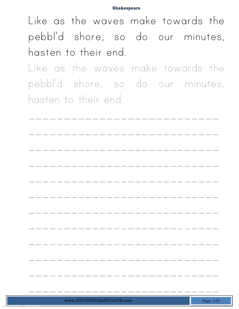Like as the waves make towards the pebbl'd shore, so do our minutes, hasten to their end.

Like as the waves make towards the pebbl'd shore, so do our minutes, hasten to their end.

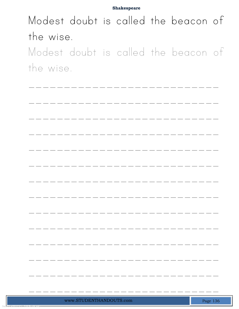Modest doubt is called the beacon of the wise.

Modest doubt is called the beacon of the wise.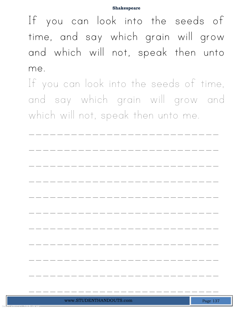If you can look into the seeds of time, and say which grain will grow and which will not, speak then unto me.

If you can look into the seeds of time, and say which grain will grow and which will not, speak then unto me.

\_\_\_\_\_\_\_\_\_\_\_\_\_\_\_\_\_\_\_\_\_\_\_\_\_\_\_

\_\_\_\_\_\_\_\_\_\_\_\_\_\_\_\_\_\_\_\_\_\_\_\_\_\_\_

\_\_\_\_\_\_\_\_\_\_\_\_\_\_\_\_\_\_\_\_\_\_\_\_\_\_\_

\_\_\_\_\_\_\_\_\_\_\_\_\_\_\_\_\_\_\_\_\_\_\_\_\_\_\_

\_\_\_\_\_\_\_\_\_\_\_\_\_\_\_\_\_\_\_\_\_\_\_\_\_\_\_

\_\_\_\_\_\_\_\_\_\_\_\_\_\_\_\_\_\_\_\_\_\_\_\_\_\_\_

\_\_\_\_\_\_\_\_\_\_\_\_\_\_\_\_\_\_\_\_\_\_\_\_\_\_\_

\_\_\_\_\_\_\_\_\_\_\_\_\_\_\_\_\_\_\_\_\_\_\_\_\_\_\_

\_\_\_\_\_\_\_\_\_\_\_\_\_\_\_\_\_\_\_\_\_\_\_\_\_\_\_

\_\_\_\_\_\_\_\_\_\_\_\_\_\_\_\_\_\_\_\_\_\_\_\_\_\_\_

\_\_\_\_\_\_\_\_\_\_\_\_\_\_\_\_\_\_\_\_\_\_\_\_\_\_\_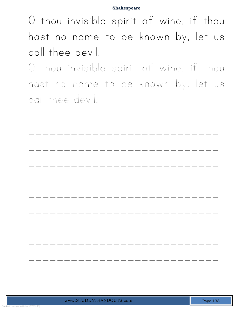O thou invisible spirit of wine, if thou hast no name to be known by, let us call thee devil.

O thou invisible spirit of wine, if thou hast no name to be known by, let us call thee devil.

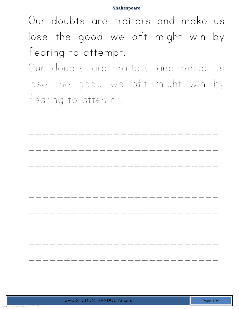Our doubts are traitors and make us lose the good we oft might win by fearing to attempt.

Our doubts are traitors and make us lose the good we oft might win by fearing to attempt.

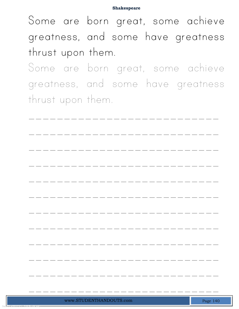Some are born great, some achieve greatness, and some have greatness thrust upon them.

Some are born great, some achieve greatness, and some have greatness thrust upon them.

\_\_\_\_\_\_\_\_\_\_\_\_\_\_\_\_\_\_\_\_\_\_\_\_\_\_\_

\_\_\_\_\_\_\_\_\_\_\_\_\_\_\_\_\_\_\_\_\_\_\_\_\_\_\_

\_\_\_\_\_\_\_\_\_\_\_\_\_\_\_\_\_\_\_\_\_\_\_\_\_\_\_ \_\_\_\_\_\_\_\_\_\_\_\_\_\_\_\_\_\_\_\_\_\_\_\_\_\_\_ \_\_\_\_\_\_\_\_\_\_\_\_\_\_\_\_\_\_\_\_\_\_\_\_\_\_\_ \_\_\_\_\_\_\_\_\_\_\_\_\_\_\_\_\_\_\_\_\_\_\_\_\_\_\_ \_\_\_\_\_\_\_\_\_\_\_\_\_\_\_\_\_\_\_\_\_\_\_\_\_\_\_ \_\_\_\_\_\_\_\_\_\_\_\_\_\_\_\_\_\_\_\_\_\_\_\_\_\_\_ \_\_\_\_\_\_\_\_\_\_\_\_\_\_\_\_\_\_\_\_\_\_\_\_\_\_\_ \_\_\_\_\_\_\_\_\_\_\_\_\_\_\_\_\_\_\_\_\_\_\_\_\_\_\_ \_\_\_\_\_\_\_\_\_\_\_\_\_\_\_\_\_\_\_\_\_\_\_\_\_\_\_ \_\_\_\_\_\_\_\_\_\_\_\_\_\_\_\_\_\_\_\_\_\_\_\_\_\_\_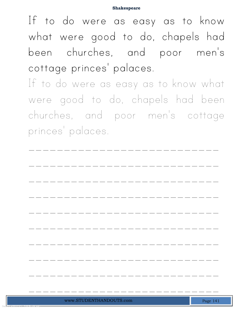If to do were as easy as to know what were good to do, chapels had been churches, and poor men's cottage princes' palaces.

If to do were as easy as to know what were good to do, chapels had been churches, and poor men's cottage princes' palaces.

\_\_\_\_\_\_\_\_\_\_\_\_\_\_\_\_\_\_\_\_\_\_\_\_\_\_\_

\_\_\_\_\_\_\_\_\_\_\_\_\_\_\_\_\_\_\_\_\_\_\_\_\_\_\_

\_\_\_\_\_\_\_\_\_\_\_\_\_\_\_\_\_\_\_\_\_\_\_\_\_\_\_

\_\_\_\_\_\_\_\_\_\_\_\_\_\_\_\_\_\_\_\_\_\_\_\_\_\_\_

\_\_\_\_\_\_\_\_\_\_\_\_\_\_\_\_\_\_\_\_\_\_\_\_\_\_\_

\_\_\_\_\_\_\_\_\_\_\_\_\_\_\_\_\_\_\_\_\_\_\_\_\_\_\_

\_\_\_\_\_\_\_\_\_\_\_\_\_\_\_\_\_\_\_\_\_\_\_\_\_\_\_

\_\_\_\_\_\_\_\_\_\_\_\_\_\_\_\_\_\_\_\_\_\_\_\_\_\_\_

\_\_\_\_\_\_\_\_\_\_\_\_\_\_\_\_\_\_\_\_\_\_\_\_\_\_\_

\_\_\_\_\_\_\_\_\_\_\_\_\_\_\_\_\_\_\_\_\_\_\_\_\_\_\_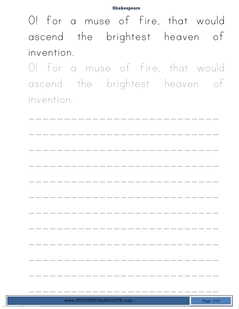O! for a muse of fire, that would ascend the brightest heaven of invention.

O! for a muse of fire, that would ascend the brightest heaven of invention.

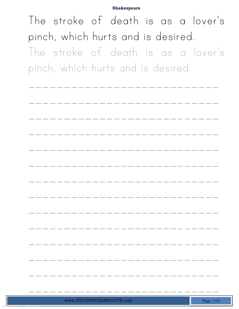# The stroke of death is as a lover's pinch, which hurts and is desired.

The stroke of death is as a lover's pinch, which hurts and is desired.

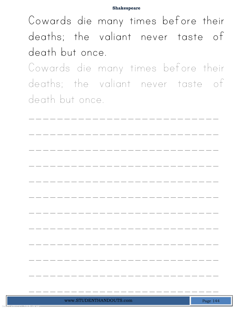Cowards die many times before their deaths; the valiant never taste of death but once.

Cowards die many times before their deaths; the valiant never taste of death but once.

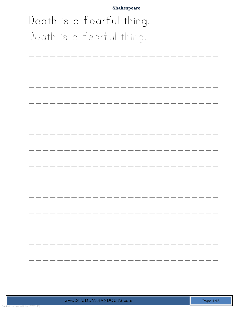# Death is a fearful thing. Death is a fearful thing.

|  | ш. |  | - -        | - -<br>- - | - -<br>- - | - -    |     |     |     |  |
|--|----|--|------------|------------|------------|--------|-----|-----|-----|--|
|  |    |  |            |            |            |        |     |     |     |  |
|  |    |  |            |            |            |        |     |     |     |  |
|  |    |  |            | - -<br>- - | - -<br>- - | - -    |     |     |     |  |
|  |    |  |            |            | - -        |        |     |     |     |  |
|  |    |  | __<br>____ |            |            | ______ | - - | - - | - - |  |
|  |    |  | - -        | — —        | - -        | . .    |     |     |     |  |
|  |    |  |            |            |            |        |     |     |     |  |
|  |    |  |            |            |            |        |     |     |     |  |
|  |    |  |            |            |            |        |     |     |     |  |
|  |    |  |            |            |            |        |     |     |     |  |
|  |    |  |            |            |            |        |     |     |     |  |
|  |    |  |            |            |            |        |     |     |     |  |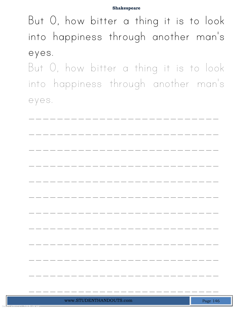But O, how bitter a thing it is to look into happiness through another man's eyes.

But O, how bitter a thing it is to look into happiness through another man's eyes.

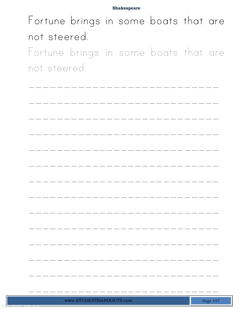### Fortune brings in some boats that are not steered.

Fortune brings in some boats that are not steered.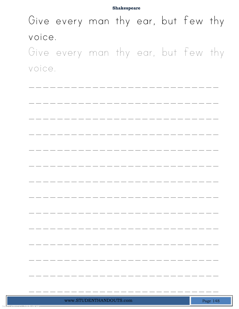Give every man thy ear, but few thy voice.

Give every man thy ear, but few thy voice.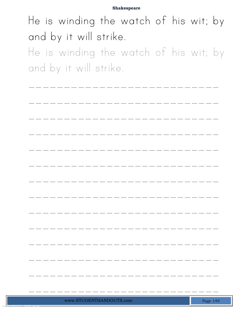# He is winding the watch of his wit; by and by it will strike.

He is winding the watch of his wit; by and by it will strike.

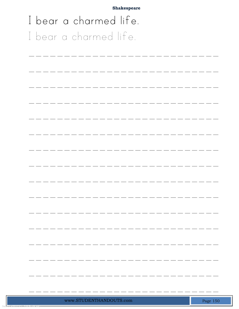$\sim$ 

 $\overline{a}$ 

 $\overline{a}$  $\overline{a}$   $\overline{a}$  $\overline{a}$  $\overline{a}$ 44  $\overline{a}$ 

- -

ш.

 $\overline{\phantom{a}}$ 

- -- -

ш.

- -

 $\overline{\phantom{a}}$  $\overline{a}$  $\overline{a}$ 

 $\overline{\phantom{a}}$ 

 $\overline{a}$ 

a a

# I bear a charmed life.

I bear a charmed life.

\_ \_\_ \_

- -

- -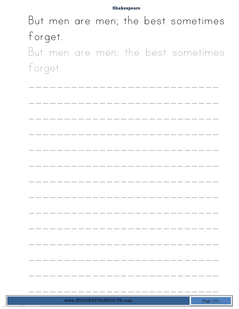### But men are men; the best sometimes forget.

But men are men; the best sometimes forget.

|  |                     | ____________ |  |
|--|---------------------|--------------|--|
|  |                     | _ __ __ _    |  |
|  |                     |              |  |
|  |                     |              |  |
|  |                     |              |  |
|  |                     |              |  |
|  |                     |              |  |
|  | _ __ _<br>_ __ __ _ |              |  |
|  |                     |              |  |
|  |                     |              |  |
|  |                     |              |  |
|  |                     |              |  |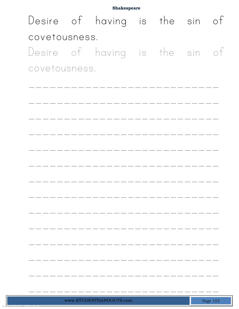Desire of having is the sin of covetousness.

Desire of having is the sin of covetousness.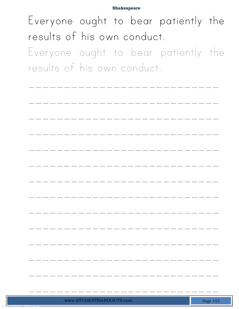### Everyone ought to bear patiently the results of his own conduct.

Everyone ought to bear patiently the results of his own conduct.

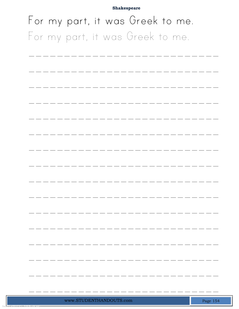### For my part, it was Greek to me. For my part, it was Greek to me.

 $\overline{a}$  $\overline{\phantom{a}}$ \_ \_\_ \_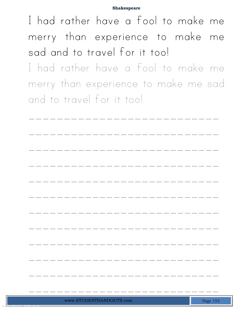I had rather have a fool to make me merry than experience to make me sad and to travel for it too! I had rather have a fool to make me

merry than experience to make me sad and to travel for it too!

\_\_\_\_\_\_\_\_\_\_\_\_\_\_\_\_\_\_\_\_\_\_\_\_\_\_\_

\_\_\_\_\_\_\_\_\_\_\_\_\_\_\_\_\_\_\_\_\_\_\_\_\_\_\_ \_\_\_\_\_\_\_\_\_\_\_\_\_\_\_\_\_\_\_\_\_\_\_\_\_\_\_ \_\_\_\_\_\_\_\_\_\_\_\_\_\_\_\_\_\_\_\_\_\_\_\_\_\_\_ \_\_\_\_\_\_\_\_\_\_\_\_\_\_\_\_\_\_\_\_\_\_\_\_\_\_\_ \_\_\_\_\_\_\_\_\_\_\_\_\_\_\_\_\_\_\_\_\_\_\_\_\_\_\_ \_\_\_\_\_\_\_\_\_\_\_\_\_\_\_\_\_\_\_\_\_\_\_\_\_\_\_ \_\_\_\_\_\_\_\_\_\_\_\_\_\_\_\_\_\_\_\_\_\_\_\_\_\_\_ \_\_\_\_\_\_\_\_\_\_\_\_\_\_\_\_\_\_\_\_\_\_\_\_\_\_\_ \_\_\_\_\_\_\_\_\_\_\_\_\_\_\_\_\_\_\_\_\_\_\_\_\_\_\_ \_\_\_\_\_\_\_\_\_\_\_\_\_\_\_\_\_\_\_\_\_\_\_\_\_\_\_ \_\_\_\_\_\_\_\_\_\_\_\_\_\_\_\_\_\_\_\_\_\_\_\_\_\_\_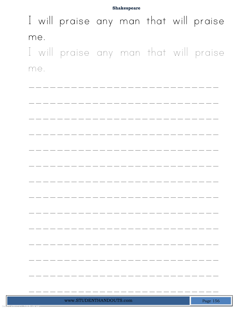I will praise any man that will praise me.

I will praise any man that will praise me.

|  |  |  | - -<br>$\sim$ |  |
|--|--|--|---------------|--|
|  |  |  |               |  |
|  |  |  |               |  |
|  |  |  |               |  |
|  |  |  |               |  |
|  |  |  |               |  |
|  |  |  |               |  |
|  |  |  |               |  |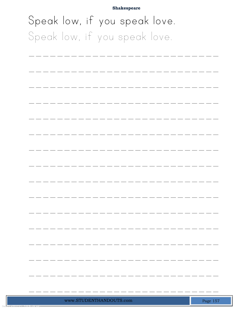$\overline{a}$ 

\_ \_\_ \_

# Speak low, if you speak love. Speak low, if you speak love.

www.STUDENTHANDOUTS.com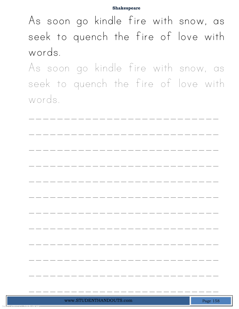

As soon go kindle fire with snow, as seek to quench the fire of love with words.

As soon go kindle fire with snow, as seek to quench the fire of love with words.

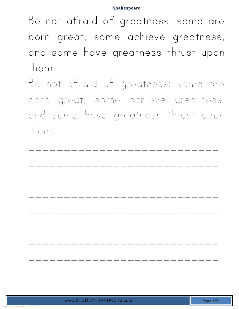Be not afraid of greatness: some are born great, some achieve greatness, and some have greatness thrust upon them.

Be not afraid of greatness: some are born great, some achieve greatness, and some have greatness thrust upon them.

\_\_\_\_\_\_\_\_\_\_\_\_\_\_\_\_\_\_\_\_\_\_\_\_\_\_\_

\_\_\_\_\_\_\_\_\_\_\_\_\_\_\_\_\_\_\_\_\_\_\_\_\_\_\_

\_\_\_\_\_\_\_\_\_\_\_\_\_\_\_\_\_\_\_\_\_\_\_\_\_\_\_

\_\_\_\_\_\_\_\_\_\_\_\_\_\_\_\_\_\_\_\_\_\_\_\_\_\_\_

\_\_\_\_\_\_\_\_\_\_\_\_\_\_\_\_\_\_\_\_\_\_\_\_\_\_\_

\_\_\_\_\_\_\_\_\_\_\_\_\_\_\_\_\_\_\_\_\_\_\_\_\_\_\_

\_\_\_\_\_\_\_\_\_\_\_\_\_\_\_\_\_\_\_\_\_\_\_\_\_\_\_

\_\_\_\_\_\_\_\_\_\_\_\_\_\_\_\_\_\_\_\_\_\_\_\_\_\_\_

\_\_\_\_\_\_\_\_\_\_\_\_\_\_\_\_\_\_\_\_\_\_\_\_\_\_\_

\_\_\_\_\_\_\_\_\_\_\_\_\_\_\_\_\_\_\_\_\_\_\_\_\_\_\_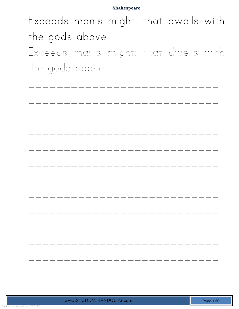Exceeds man's might: that dwells with the gods above.

Exceeds man's might: that dwells with the gods above.

|  | - - | $\overline{\phantom{a}}$<br>- - |
|--|-----|---------------------------------|
|  |     |                                 |
|  |     |                                 |
|  |     |                                 |
|  |     |                                 |
|  |     |                                 |
|  |     |                                 |
|  |     |                                 |
|  |     |                                 |
|  |     |                                 |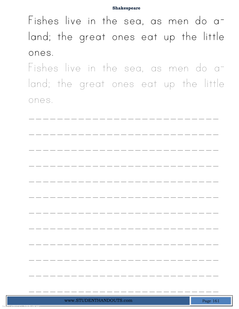Fishes live in the sea, as men do aland; the great ones eat up the little ones.

Fishes live in the sea, as men do aland; the great ones eat up the little ones.

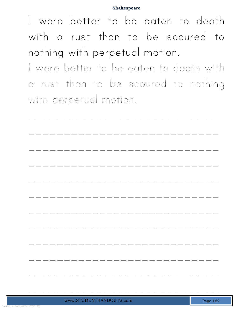I were better to be eaten to death with a rust than to be scoured to nothing with perpetual motion.

I were better to be eaten to death with a rust than to be scoured to nothing with perpetual motion.

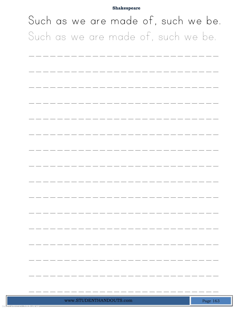### Such as we are made of, such we be. Such as we are made of, such we be.

|     |  | _ ___ __ __ __ __ __  |                                                                                                                                                                                                                                                        |  |
|-----|--|-----------------------|--------------------------------------------------------------------------------------------------------------------------------------------------------------------------------------------------------------------------------------------------------|--|
|     |  |                       |                                                                                                                                                                                                                                                        |  |
|     |  | - -- -- -- -- -- -- - | - -                                                                                                                                                                                                                                                    |  |
|     |  |                       |                                                                                                                                                                                                                                                        |  |
|     |  |                       |                                                                                                                                                                                                                                                        |  |
|     |  |                       |                                                                                                                                                                                                                                                        |  |
|     |  |                       |                                                                                                                                                                                                                                                        |  |
|     |  |                       |                                                                                                                                                                                                                                                        |  |
|     |  |                       |                                                                                                                                                                                                                                                        |  |
| - - |  | - -                   | $\sim$<br>— <i>—</i><br>and and the second state of the second state of the second state of the second state of the second state of the second state of the second state of the second state of the second state of the second state of the second sta |  |
|     |  |                       |                                                                                                                                                                                                                                                        |  |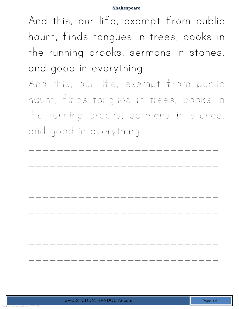And this, our life, exempt from public haunt, finds tongues in trees, books in the running brooks, sermons in stones, and good in everything.

And this, our life, exempt from public haunt, finds tongues in trees, books in the running brooks, sermons in stones, and good in everything.

\_\_\_\_\_\_\_\_\_\_\_\_\_\_\_\_\_\_\_\_\_\_\_\_\_\_\_

\_\_\_\_\_\_\_\_\_\_\_\_\_\_\_\_\_\_\_\_\_\_\_\_\_\_\_

\_\_\_\_\_\_\_\_\_\_\_\_\_\_\_\_\_\_\_\_\_\_\_\_\_\_\_

\_\_\_\_\_\_\_\_\_\_\_\_\_\_\_\_\_\_\_\_\_\_\_\_\_\_\_

\_\_\_\_\_\_\_\_\_\_\_\_\_\_\_\_\_\_\_\_\_\_\_\_\_\_\_

\_\_\_\_\_\_\_\_\_\_\_\_\_\_\_\_\_\_\_\_\_\_\_\_\_\_\_

\_\_\_\_\_\_\_\_\_\_\_\_\_\_\_\_\_\_\_\_\_\_\_\_\_\_\_

\_\_\_\_\_\_\_\_\_\_\_\_\_\_\_\_\_\_\_\_\_\_\_\_\_\_\_

\_\_\_\_\_\_\_\_\_\_\_\_\_\_\_\_\_\_\_\_\_\_\_\_\_\_\_

\_\_\_\_\_\_\_\_\_\_\_\_\_\_\_\_\_\_\_\_\_\_\_\_\_\_\_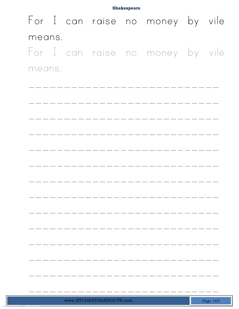|        |  |  | For I can raise no money by vile |  |
|--------|--|--|----------------------------------|--|
| means. |  |  |                                  |  |
|        |  |  | For I can raise no money by vile |  |
| means. |  |  |                                  |  |
|        |  |  |                                  |  |
|        |  |  |                                  |  |
|        |  |  |                                  |  |
|        |  |  |                                  |  |
|        |  |  |                                  |  |
|        |  |  |                                  |  |
|        |  |  |                                  |  |
|        |  |  |                                  |  |
|        |  |  |                                  |  |
|        |  |  |                                  |  |
|        |  |  |                                  |  |
|        |  |  |                                  |  |
|        |  |  |                                  |  |

international contract and

og.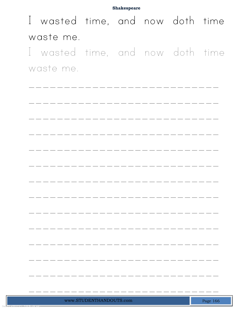I wasted time, and now doth time waste me.

I wasted time, and now doth time waste me.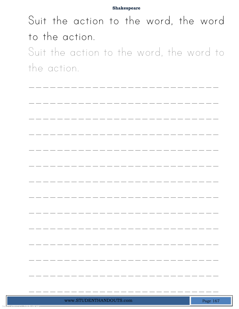### Suit the action to the word, the word to the action.

Suit the action to the word, the word to the action.

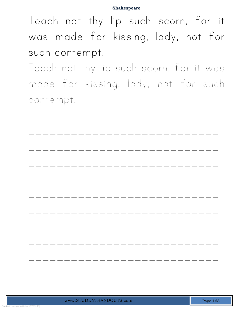Teach not thy lip such scorn, for it was made for kissing, lady, not for such contempt.

Teach not thy lip such scorn, for it was made for kissing, lady, not for such contempt.

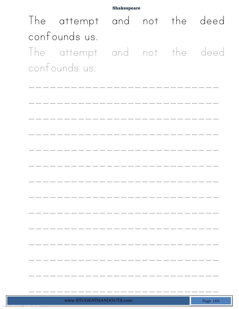The attempt and not the deed confounds us.

The attempt and not the deed confounds us.

| <u>. . </u> | $   -$                   |        |  |
|-------------|--------------------------|--------|--|
|             |                          |        |  |
|             |                          |        |  |
|             | $\sim$                   | $\sim$ |  |
|             |                          |        |  |
|             | $\overline{\phantom{a}}$ | $\sim$ |  |
|             |                          |        |  |
|             |                          |        |  |
|             |                          |        |  |
|             | $\sim$<br>$\sim$         |        |  |
|             |                          |        |  |
|             |                          |        |  |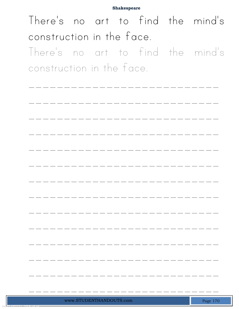### There's no art to find the mind's construction in the face.

There's no art to find the mind's construction in the face.

\_ \_\_ \_\_ \_\_ \_\_ \_\_ \_\_ \_\_ -------------------\_\_ \_\_\_ \_\_\_ \_\_\_ \_\_\_ \_\_\_ \_ \_\_ \_\_ \_\_ \_\_ \_\_ \_\_ \_\_ \_\_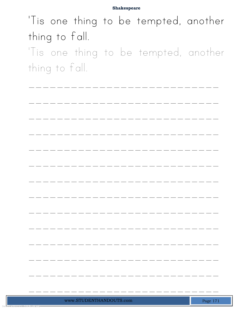'Tis one thing to be tempted, another thing to fall.

Tis one thing to be tempted, another thing to fall.

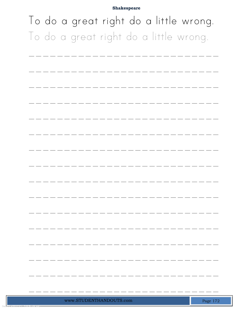

# To do a great right do a little wrong. To do a great right do a little wrong.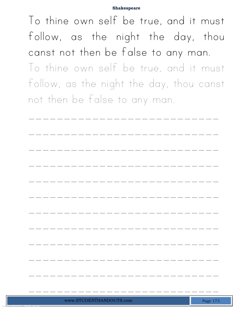To thine own self be true, and it must follow, as the night the day, thou canst not then be false to any man. To thine own self be true, and it must follow, as the night the day, thou canst not then be false to any man.

\_\_\_\_\_\_\_\_\_\_\_\_\_\_\_\_\_\_\_\_\_\_\_\_\_\_\_

\_\_\_\_\_\_\_\_\_\_\_\_\_\_\_\_\_\_\_\_\_\_\_\_\_\_\_

\_\_\_\_\_\_\_\_\_\_\_\_\_\_\_\_\_\_\_\_\_\_\_\_\_\_\_

\_\_\_\_\_\_\_\_\_\_\_\_\_\_\_\_\_\_\_\_\_\_\_\_\_\_\_

\_\_\_\_\_\_\_\_\_\_\_\_\_\_\_\_\_\_\_\_\_\_\_\_\_\_\_

\_\_\_\_\_\_\_\_\_\_\_\_\_\_\_\_\_\_\_\_\_\_\_\_\_\_\_

\_\_\_\_\_\_\_\_\_\_\_\_\_\_\_\_\_\_\_\_\_\_\_\_\_\_\_

\_\_\_\_\_\_\_\_\_\_\_\_\_\_\_\_\_\_\_\_\_\_\_\_\_\_\_

\_\_\_\_\_\_\_\_\_\_\_\_\_\_\_\_\_\_\_\_\_\_\_\_\_\_\_

\_\_\_\_\_\_\_\_\_\_\_\_\_\_\_\_\_\_\_\_\_\_\_\_\_\_\_

\_\_\_\_\_\_\_\_\_\_\_\_\_\_\_\_\_\_\_\_\_\_\_\_\_\_\_

\_\_\_\_\_\_\_\_\_\_\_\_\_\_\_\_\_\_\_\_\_\_\_\_\_\_\_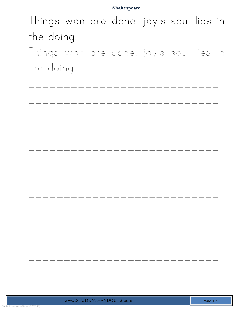### Things won are done, joy's soul lies in the doing.

Things won are done, joy's soul lies in the doing.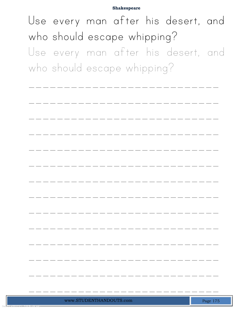Use every man after his desert, and who should escape whipping?

Use every man after his desert, and who should escape whipping?

\_\_\_\_\_\_\_\_\_\_\_\_\_\_\_\_\_\_\_\_\_\_\_\_\_\_\_

\_\_\_\_\_\_\_\_\_\_\_\_\_\_\_\_\_\_\_\_\_\_\_\_\_\_\_ \_\_\_\_\_\_\_\_\_\_\_\_\_\_\_\_\_\_\_\_\_\_\_\_\_\_\_ \_\_\_\_\_\_\_\_\_\_\_\_\_\_\_\_\_\_\_\_\_\_\_\_\_\_\_ \_\_\_\_\_\_\_\_\_\_\_\_\_\_\_\_\_\_\_\_\_\_\_\_\_\_\_ \_\_\_\_\_\_\_\_\_\_\_\_\_\_\_\_\_\_\_\_\_\_\_\_\_\_\_ \_\_\_\_\_\_\_\_\_\_\_\_\_\_\_\_\_\_\_\_\_\_\_\_\_\_\_ \_\_\_\_\_\_\_\_\_\_\_\_\_\_\_\_\_\_\_\_\_\_\_\_\_\_\_ \_\_\_\_\_\_\_\_\_\_\_\_\_\_\_\_\_\_\_\_\_\_\_\_\_\_\_ \_\_\_\_\_\_\_\_\_\_\_\_\_\_\_\_\_\_\_\_\_\_\_\_\_\_\_ \_\_\_\_\_\_\_\_\_\_\_\_\_\_\_\_\_\_\_\_\_\_\_\_\_\_\_ \_\_\_\_\_\_\_\_\_\_\_\_\_\_\_\_\_\_\_\_\_\_\_\_\_\_\_ \_\_\_\_\_\_\_\_\_\_\_\_\_\_\_\_\_\_\_\_\_\_\_\_\_\_\_ \_\_\_\_\_\_\_\_\_\_\_\_\_\_\_\_\_\_\_\_\_\_\_\_\_\_\_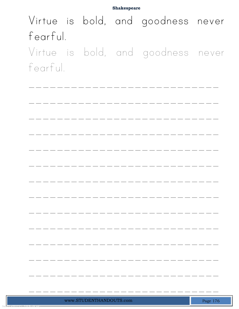# Virtue is bold, and goodness never fearful.

Virtue is bold, and goodness never fearful.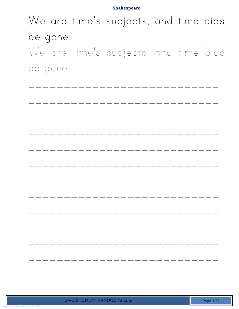We are time's subjects, and time bids be gone.

We are time's subjects, and time bids be gone.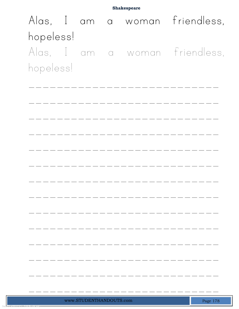|           |  |  |  |  | Alas, I am a woman friendless, |  |  |  |
|-----------|--|--|--|--|--------------------------------|--|--|--|
| hopeless! |  |  |  |  |                                |  |  |  |
|           |  |  |  |  | Alas, I am a woman friendless, |  |  |  |
| hopeless! |  |  |  |  |                                |  |  |  |
|           |  |  |  |  |                                |  |  |  |
|           |  |  |  |  |                                |  |  |  |
|           |  |  |  |  |                                |  |  |  |
|           |  |  |  |  |                                |  |  |  |
|           |  |  |  |  |                                |  |  |  |
|           |  |  |  |  |                                |  |  |  |
|           |  |  |  |  |                                |  |  |  |
|           |  |  |  |  |                                |  |  |  |
|           |  |  |  |  |                                |  |  |  |
|           |  |  |  |  |                                |  |  |  |
|           |  |  |  |  |                                |  |  |  |
|           |  |  |  |  |                                |  |  |  |
|           |  |  |  |  |                                |  |  |  |
|           |  |  |  |  |                                |  |  |  |

rhatrica Cretera da Gobolan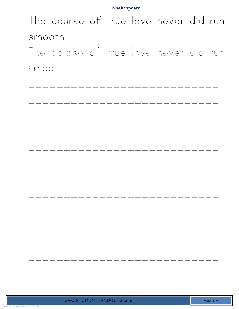### The course of true love never did run smooth.

The course of true love never did run smooth.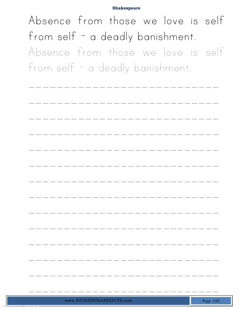# Absence from those we love is self from self - a deadly banishment.

Absence from those we love is self from self - a deadly banishment.

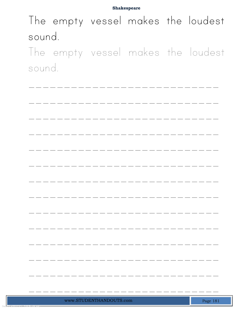The empty vessel makes the loudest sound.

The empty vessel makes the loudest sound.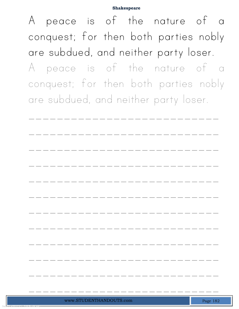A peace is of the nature of a conquest; for then both parties nobly are subdued, and neither party loser. A peace is of the nature of a conquest; for then both parties nobly are subdued, and neither party loser.

\_\_\_\_\_\_\_\_\_\_\_\_\_\_\_\_\_\_\_\_\_\_\_\_\_\_\_

\_\_\_\_\_\_\_\_\_\_\_\_\_\_\_\_\_\_\_\_\_\_\_\_\_\_\_

\_\_\_\_\_\_\_\_\_\_\_\_\_\_\_\_\_\_\_\_\_\_\_\_\_\_\_

\_\_\_\_\_\_\_\_\_\_\_\_\_\_\_\_\_\_\_\_\_\_\_\_\_\_\_

\_\_\_\_\_\_\_\_\_\_\_\_\_\_\_\_\_\_\_\_\_\_\_\_\_\_\_

\_\_\_\_\_\_\_\_\_\_\_\_\_\_\_\_\_\_\_\_\_\_\_\_\_\_\_

\_\_\_\_\_\_\_\_\_\_\_\_\_\_\_\_\_\_\_\_\_\_\_\_\_\_\_

\_\_\_\_\_\_\_\_\_\_\_\_\_\_\_\_\_\_\_\_\_\_\_\_\_\_\_

\_\_\_\_\_\_\_\_\_\_\_\_\_\_\_\_\_\_\_\_\_\_\_\_\_\_\_

\_\_\_\_\_\_\_\_\_\_\_\_\_\_\_\_\_\_\_\_\_\_\_\_\_\_\_

\_\_\_\_\_\_\_\_\_\_\_\_\_\_\_\_\_\_\_\_\_\_\_\_\_\_\_

\_\_\_\_\_\_\_\_\_\_\_\_\_\_\_\_\_\_\_\_\_\_\_\_\_\_\_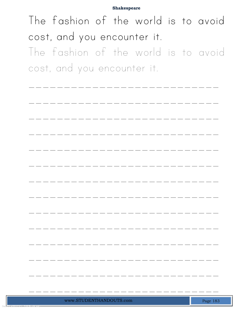# The fashion of the world is to avoid cost, and you encounter it.

The fashion of the world is to avoid cost, and you encounter it.

\_\_\_\_\_\_\_\_\_\_\_\_\_\_\_\_\_\_\_\_\_\_\_\_\_\_\_

\_\_\_\_\_\_\_\_\_\_\_\_\_\_\_\_\_\_\_\_\_\_\_\_\_\_\_ \_\_\_\_\_\_\_\_\_\_\_\_\_\_\_\_\_\_\_\_\_\_\_\_\_\_\_ \_\_\_\_\_\_\_\_\_\_\_\_\_\_\_\_\_\_\_\_\_\_\_\_\_\_\_ \_\_\_\_\_\_\_\_\_\_\_\_\_\_\_\_\_\_\_\_\_\_\_\_\_\_\_ \_\_\_\_\_\_\_\_\_\_\_\_\_\_\_\_\_\_\_\_\_\_\_\_\_\_\_ \_\_\_\_\_\_\_\_\_\_\_\_\_\_\_\_\_\_\_\_\_\_\_\_\_\_\_ \_\_\_\_\_\_\_\_\_\_\_\_\_\_\_\_\_\_\_\_\_\_\_\_\_\_\_ \_\_\_\_\_\_\_\_\_\_\_\_\_\_\_\_\_\_\_\_\_\_\_\_\_\_\_ \_\_\_\_\_\_\_\_\_\_\_\_\_\_\_\_\_\_\_\_\_\_\_\_\_\_\_ \_\_\_\_\_\_\_\_\_\_\_\_\_\_\_\_\_\_\_\_\_\_\_\_\_\_\_ \_\_\_\_\_\_\_\_\_\_\_\_\_\_\_\_\_\_\_\_\_\_\_\_\_\_\_ \_\_\_\_\_\_\_\_\_\_\_\_\_\_\_\_\_\_\_\_\_\_\_\_\_\_\_ \_\_\_\_\_\_\_\_\_\_\_\_\_\_\_\_\_\_\_\_\_\_\_\_\_\_\_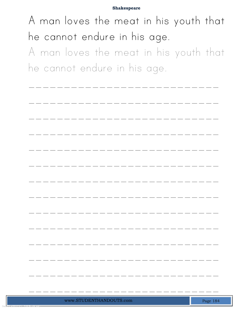# A man loves the meat in his youth that he cannot endure in his age.

A man loves the meat in his youth that he cannot endure in his age.

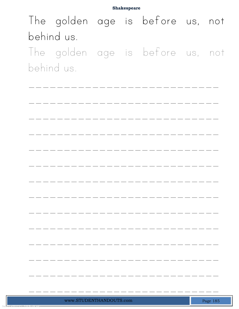## The golden age is before us, not behind us.

The golden age is before us, not behind us.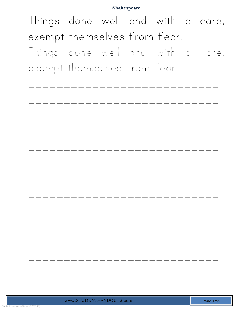## Things done well and with a care, exempt themselves from fear.

Things done well and with a care, exempt themselves from fear.

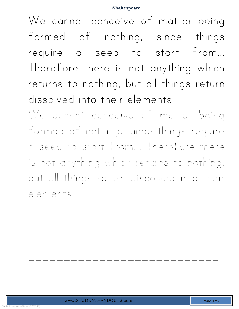We cannot conceive of matter being formed of nothing, since things require a seed to start from... Therefore there is not anything which returns to nothing, but all things return dissolved into their elements.

We cannot conceive of matter being formed of nothing, since things require a seed to start from... Therefore there is not anything which returns to nothing, but all things return dissolved into their elements.

\_\_\_\_\_\_\_\_\_\_\_\_\_\_\_\_\_\_\_\_\_\_\_\_\_\_\_

\_\_\_\_\_\_\_\_\_\_\_\_\_\_\_\_\_\_\_\_\_\_\_\_\_\_\_

\_\_\_\_\_\_\_\_\_\_\_\_\_\_\_\_\_\_\_\_\_\_\_\_\_\_\_

\_\_\_\_\_\_\_\_\_\_\_\_\_\_\_\_\_\_\_\_\_\_\_\_\_\_\_

\_\_\_\_\_\_\_\_\_\_\_\_\_\_\_\_\_\_\_\_\_\_\_\_\_\_\_

\_\_\_\_\_\_\_\_\_\_\_\_\_\_\_\_\_\_\_\_\_\_\_\_\_\_\_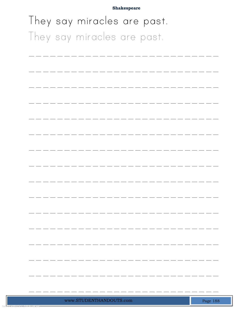## They say miracles are past. They say miracles are past.

 $\overline{a}$ - - $\overline{a}$  $\overline{a}$  $\overline{\phantom{a}}$ \_ \_\_ \_ - -- -- -- -\_ \_ \_ - 11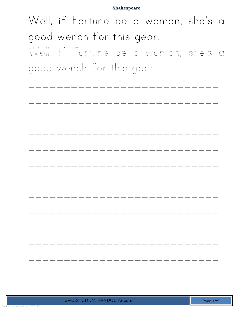Well, if Fortune be a woman, she's a good wench for this gear.

Well, if Fortune be a woman, she's a good wench for this gear.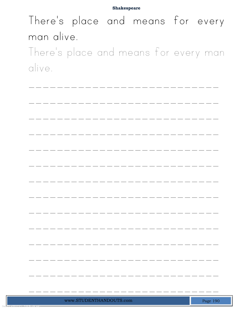There's place and means for every man alive.

There's place and means for every man alive.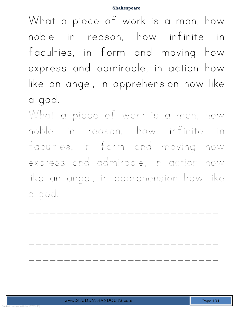What a piece of work is a man, how noble in reason, how infinite in faculties, in form and moving how express and admirable, in action how like an angel, in apprehension how like a god.

What a piece of work is a man, how noble in reason, how infinite in faculties, in form and moving how express and admirable, in action how like an angel, in apprehension how like a god.

\_\_\_\_\_\_\_\_\_\_\_\_\_\_\_\_\_\_\_\_\_\_\_\_\_\_\_

\_\_\_\_\_\_\_\_\_\_\_\_\_\_\_\_\_\_\_\_\_\_\_\_\_\_\_

\_\_\_\_\_\_\_\_\_\_\_\_\_\_\_\_\_\_\_\_\_\_\_\_\_\_\_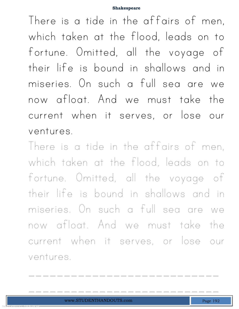There is a tide in the affairs of men, which taken at the flood, leads on to fortune. Omitted, all the voyage of their life is bound in shallows and in miseries. On such a full sea are we now afloat. And we must take the current when it serves, or lose our ventures.

There is a tide in the affairs of men, which taken at the flood, leads on to fortune. Omitted, all the voyage of their life is bound in shallows and in miseries. On such a full sea are we now afloat. And we must take the current when it serves, or lose our ventures.

\_\_\_\_\_\_\_\_\_\_\_\_\_\_\_\_\_\_\_\_\_\_\_\_\_\_\_

\_\_\_\_\_\_\_\_\_\_\_\_\_\_\_\_\_\_\_\_\_\_\_\_\_\_\_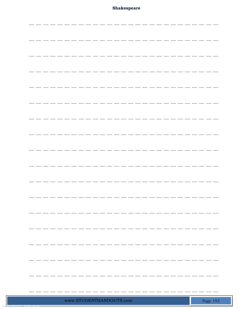rhatrica Cretera da Gobolan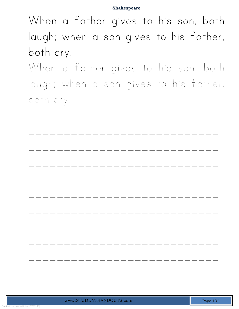When a father gives to his son, both laugh; when a son gives to his father, both cry.

When a father gives to his son, both laugh; when a son gives to his father, both cry.

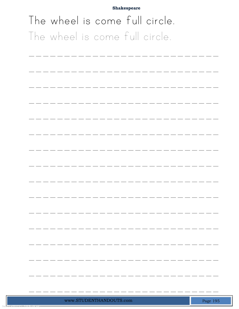- -<u>. .</u>

 $\overline{a}$ 

 $\overline{\phantom{a}}$  $\mathbb{R}^2$  $\overline{a}$ 

\_\_\_

\_\_\_\_\_\_\_\_\_\_\_\_\_\_

 $\overline{a}$ 

- -

 $\sim$ 

 $\overline{a}$ 

 $\overline{a}$  $\sim$ 

 $\overline{\phantom{a}}$  $\overline{\phantom{a}}$  $\overline{\phantom{a}}$ 

 $\overline{a}$ 

 $\overline{a}$  $\overline{a}$ 

# The wheel is come full circle. The wheel is come full circle.

. .

<u>. .</u>

 $\overline{a}$ 

www.STUDENTHANDOUTS.com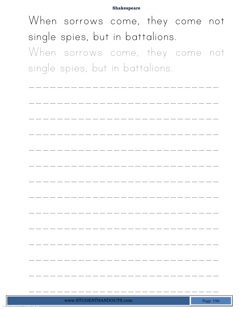When sorrows come, they come not single spies, but in battalions.

When sorrows come, they come not single spies, but in battalions.

\_\_\_\_\_\_\_\_\_\_\_\_\_\_\_\_\_\_\_\_\_\_\_\_\_\_\_

\_\_\_\_\_\_\_\_\_\_\_\_\_\_\_\_\_\_\_\_\_\_\_\_\_\_\_ \_\_\_\_\_\_\_\_\_\_\_\_\_\_\_\_\_\_\_\_\_\_\_\_\_\_\_ \_\_\_\_\_\_\_\_\_\_\_\_\_\_\_\_\_\_\_\_\_\_\_\_\_\_\_ \_\_\_\_\_\_\_\_\_\_\_\_\_\_\_\_\_\_\_\_\_\_\_\_\_\_\_ \_\_\_\_\_\_\_\_\_\_\_\_\_\_\_\_\_\_\_\_\_\_\_\_\_\_\_ \_\_\_\_\_\_\_\_\_\_\_\_\_\_\_\_\_\_\_\_\_\_\_\_\_\_\_ \_\_\_\_\_\_\_\_\_\_\_\_\_\_\_\_\_\_\_\_\_\_\_\_\_\_\_ \_\_\_\_\_\_\_\_\_\_\_\_\_\_\_\_\_\_\_\_\_\_\_\_\_\_\_ \_\_\_\_\_\_\_\_\_\_\_\_\_\_\_\_\_\_\_\_\_\_\_\_\_\_\_ \_\_\_\_\_\_\_\_\_\_\_\_\_\_\_\_\_\_\_\_\_\_\_\_\_\_\_ \_\_\_\_\_\_\_\_\_\_\_\_\_\_\_\_\_\_\_\_\_\_\_\_\_\_\_ \_\_\_\_\_\_\_\_\_\_\_\_\_\_\_\_\_\_\_\_\_\_\_\_\_\_\_ \_\_\_\_\_\_\_\_\_\_\_\_\_\_\_\_\_\_\_\_\_\_\_\_\_\_\_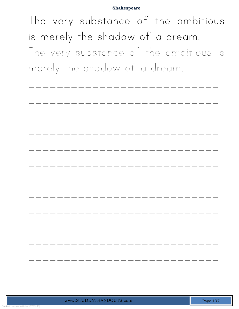The very substance of the ambitious is merely the shadow of a dream. The very substance of the ambitious is

\_\_\_\_\_\_\_\_\_\_\_\_\_\_\_\_\_\_\_\_\_\_\_\_\_\_\_

merely the shadow of a dream.

\_\_\_\_\_\_\_\_\_\_\_\_\_\_\_\_\_\_\_\_\_\_\_\_\_\_\_ \_\_\_\_\_\_\_\_\_\_\_\_\_\_\_\_\_\_\_\_\_\_\_\_\_\_\_ \_\_\_\_\_\_\_\_\_\_\_\_\_\_\_\_\_\_\_\_\_\_\_\_\_\_\_ \_\_\_\_\_\_\_\_\_\_\_\_\_\_\_\_\_\_\_\_\_\_\_\_\_\_\_ \_\_\_\_\_\_\_\_\_\_\_\_\_\_\_\_\_\_\_\_\_\_\_\_\_\_\_ \_\_\_\_\_\_\_\_\_\_\_\_\_\_\_\_\_\_\_\_\_\_\_\_\_\_\_ \_\_\_\_\_\_\_\_\_\_\_\_\_\_\_\_\_\_\_\_\_\_\_\_\_\_\_ \_\_\_\_\_\_\_\_\_\_\_\_\_\_\_\_\_\_\_\_\_\_\_\_\_\_\_ \_\_\_\_\_\_\_\_\_\_\_\_\_\_\_\_\_\_\_\_\_\_\_\_\_\_\_ \_\_\_\_\_\_\_\_\_\_\_\_\_\_\_\_\_\_\_\_\_\_\_\_\_\_\_ \_\_\_\_\_\_\_\_\_\_\_\_\_\_\_\_\_\_\_\_\_\_\_\_\_\_\_ \_\_\_\_\_\_\_\_\_\_\_\_\_\_\_\_\_\_\_\_\_\_\_\_\_\_\_ \_\_\_\_\_\_\_\_\_\_\_\_\_\_\_\_\_\_\_\_\_\_\_\_\_\_\_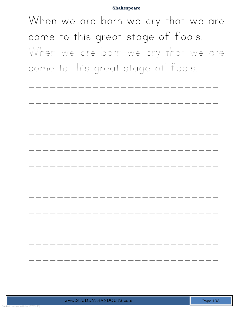When we are born we cry that we are come to this great stage of fools.

When we are born we cry that we are come to this great stage of fools.

\_\_\_\_\_\_\_\_\_\_\_\_\_\_\_\_\_\_\_\_\_\_\_\_\_\_\_

\_\_\_\_\_\_\_\_\_\_\_\_\_\_\_\_\_\_\_\_\_\_\_\_\_\_\_ \_\_\_\_\_\_\_\_\_\_\_\_\_\_\_\_\_\_\_\_\_\_\_\_\_\_\_ \_\_\_\_\_\_\_\_\_\_\_\_\_\_\_\_\_\_\_\_\_\_\_\_\_\_\_ \_\_\_\_\_\_\_\_\_\_\_\_\_\_\_\_\_\_\_\_\_\_\_\_\_\_\_ \_\_\_\_\_\_\_\_\_\_\_\_\_\_\_\_\_\_\_\_\_\_\_\_\_\_\_ \_\_\_\_\_\_\_\_\_\_\_\_\_\_\_\_\_\_\_\_\_\_\_\_\_\_\_ \_\_\_\_\_\_\_\_\_\_\_\_\_\_\_\_\_\_\_\_\_\_\_\_\_\_\_ \_\_\_\_\_\_\_\_\_\_\_\_\_\_\_\_\_\_\_\_\_\_\_\_\_\_\_ \_\_\_\_\_\_\_\_\_\_\_\_\_\_\_\_\_\_\_\_\_\_\_\_\_\_\_ \_\_\_\_\_\_\_\_\_\_\_\_\_\_\_\_\_\_\_\_\_\_\_\_\_\_\_ \_\_\_\_\_\_\_\_\_\_\_\_\_\_\_\_\_\_\_\_\_\_\_\_\_\_\_ \_\_\_\_\_\_\_\_\_\_\_\_\_\_\_\_\_\_\_\_\_\_\_\_\_\_\_ \_\_\_\_\_\_\_\_\_\_\_\_\_\_\_\_\_\_\_\_\_\_\_\_\_\_\_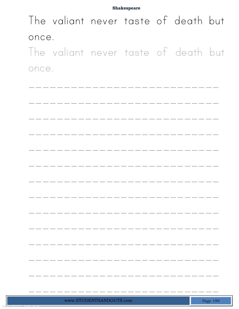The valiant never taste of death but once.

The valiant never taste of death but once.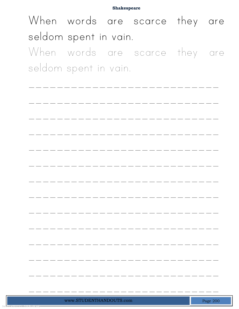When words are scarce they are seldom spent in vain.

When words are scarce they are seldom spent in vain.

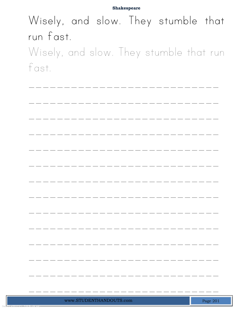Wisely, and slow. They stumble that run fast.

Wisely, and slow. They stumble that run fast.

|  | _ __ __ __ __ __ __                |                          |  |
|--|------------------------------------|--------------------------|--|
|  | _ __ __ __ __ __ __ __             |                          |  |
|  |                                    |                          |  |
|  | $\overline{\phantom{a}}$<br>$\sim$ | $\overline{\phantom{a}}$ |  |
|  | - -<br>$\sim$ $\sim$<br>- -        | - -                      |  |
|  |                                    |                          |  |
|  |                                    |                          |  |
|  |                                    |                          |  |
|  |                                    |                          |  |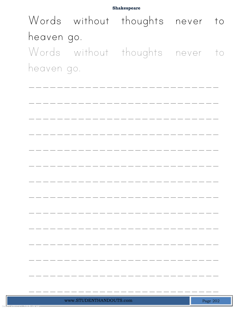|            | Words without thoughts never to |  |
|------------|---------------------------------|--|
| heaven go. |                                 |  |
|            | Words without thoughts never to |  |
| heaven go. |                                 |  |
|            |                                 |  |
|            |                                 |  |
|            |                                 |  |
|            |                                 |  |
|            |                                 |  |
|            |                                 |  |
|            |                                 |  |
|            |                                 |  |
|            |                                 |  |
|            |                                 |  |
|            |                                 |  |
|            |                                 |  |
|            |                                 |  |

mionist Grdan 19902901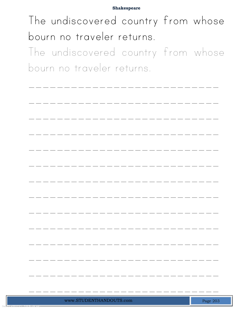# The undiscovered country from whose bourn no traveler returns.

The undiscovered country from whose bourn no traveler returns.

\_\_\_\_\_\_\_\_\_\_\_\_\_\_\_\_\_\_\_\_\_\_\_\_\_\_\_

\_\_\_\_\_\_\_\_\_\_\_\_\_\_\_\_\_\_\_\_\_\_\_\_\_\_\_ \_\_\_\_\_\_\_\_\_\_\_\_\_\_\_\_\_\_\_\_\_\_\_\_\_\_\_ \_\_\_\_\_\_\_\_\_\_\_\_\_\_\_\_\_\_\_\_\_\_\_\_\_\_\_ \_\_\_\_\_\_\_\_\_\_\_\_\_\_\_\_\_\_\_\_\_\_\_\_\_\_\_ \_\_\_\_\_\_\_\_\_\_\_\_\_\_\_\_\_\_\_\_\_\_\_\_\_\_\_ \_\_\_\_\_\_\_\_\_\_\_\_\_\_\_\_\_\_\_\_\_\_\_\_\_\_\_ \_\_\_\_\_\_\_\_\_\_\_\_\_\_\_\_\_\_\_\_\_\_\_\_\_\_\_ \_\_\_\_\_\_\_\_\_\_\_\_\_\_\_\_\_\_\_\_\_\_\_\_\_\_\_ \_\_\_\_\_\_\_\_\_\_\_\_\_\_\_\_\_\_\_\_\_\_\_\_\_\_\_ \_\_\_\_\_\_\_\_\_\_\_\_\_\_\_\_\_\_\_\_\_\_\_\_\_\_\_ \_\_\_\_\_\_\_\_\_\_\_\_\_\_\_\_\_\_\_\_\_\_\_\_\_\_\_ \_\_\_\_\_\_\_\_\_\_\_\_\_\_\_\_\_\_\_\_\_\_\_\_\_\_\_ \_\_\_\_\_\_\_\_\_\_\_\_\_\_\_\_\_\_\_\_\_\_\_\_\_\_\_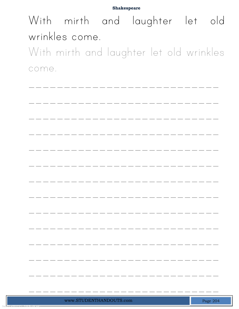## With mirth and laughter let old wrinkles come. With mirth and laughter let old wrinkles

come.

|  | $\overline{\phantom{a}}$ |  |
|--|--------------------------|--|
|  |                          |  |
|  |                          |  |
|  |                          |  |